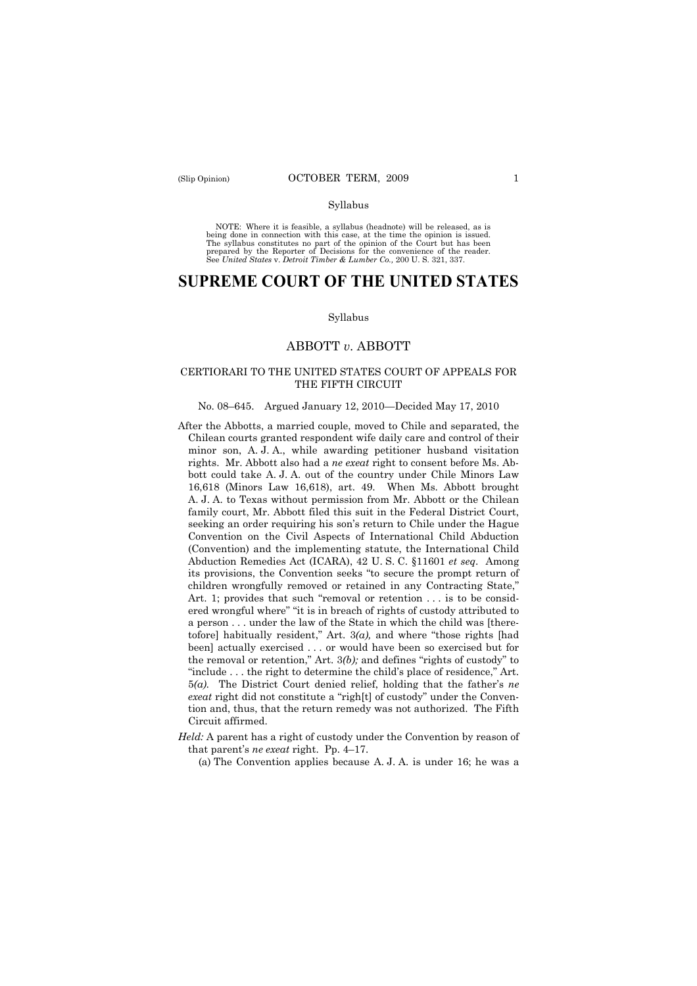NOTE: Where it is feasible, a syllabus (headnote) will be released, as is<br>being done in connection with this case, at the time the opinion is issued.<br>The syllabus constitutes no part of the opinion of the Court but has be

# **SUPREME COURT OF THE UNITED STATES**

#### Syllabus

### ABBOTT *v*. ABBOTT

### CERTIORARI TO THE UNITED STATES COURT OF APPEALS FOR THE FIFTH CIRCUIT

#### No. 08–645. Argued January 12, 2010—Decided May 17, 2010

After the Abbotts, a married couple, moved to Chile and separated, the Chilean courts granted respondent wife daily care and control of their minor son, A. J. A., while awarding petitioner husband visitation rights. Mr. Abbott also had a *ne exeat* right to consent before Ms. Abbott could take A. J. A. out of the country under Chile Minors Law 16,618 (Minors Law 16,618), art. 49. When Ms. Abbott brought A. J. A. to Texas without permission from Mr. Abbott or the Chilean family court, Mr. Abbott filed this suit in the Federal District Court, seeking an order requiring his son's return to Chile under the Hague Convention on the Civil Aspects of International Child Abduction (Convention) and the implementing statute, the International Child Abduction Remedies Act (ICARA), 42 U. S. C. §11601 *et seq*. Among its provisions, the Convention seeks "to secure the prompt return of children wrongfully removed or retained in any Contracting State," Art. 1; provides that such "removal or retention . . . is to be considered wrongful where" "it is in breach of rights of custody attributed to a person . . . under the law of the State in which the child was [theretofore] habitually resident," Art. 3*(a),* and where "those rights [had been] actually exercised . . . or would have been so exercised but for the removal or retention," Art. 3*(b);* and defines "rights of custody" to "include . . . the right to determine the child's place of residence," Art. 5*(a).* The District Court denied relief, holding that the father's *ne exeat* right did not constitute a "righ[t] of custody" under the Convention and, thus, that the return remedy was not authorized. The Fifth Circuit affirmed.

*Held:* A parent has a right of custody under the Convention by reason of that parent's *ne exeat* right. Pp. 4–17.

(a) The Convention applies because A. J. A. is under 16; he was a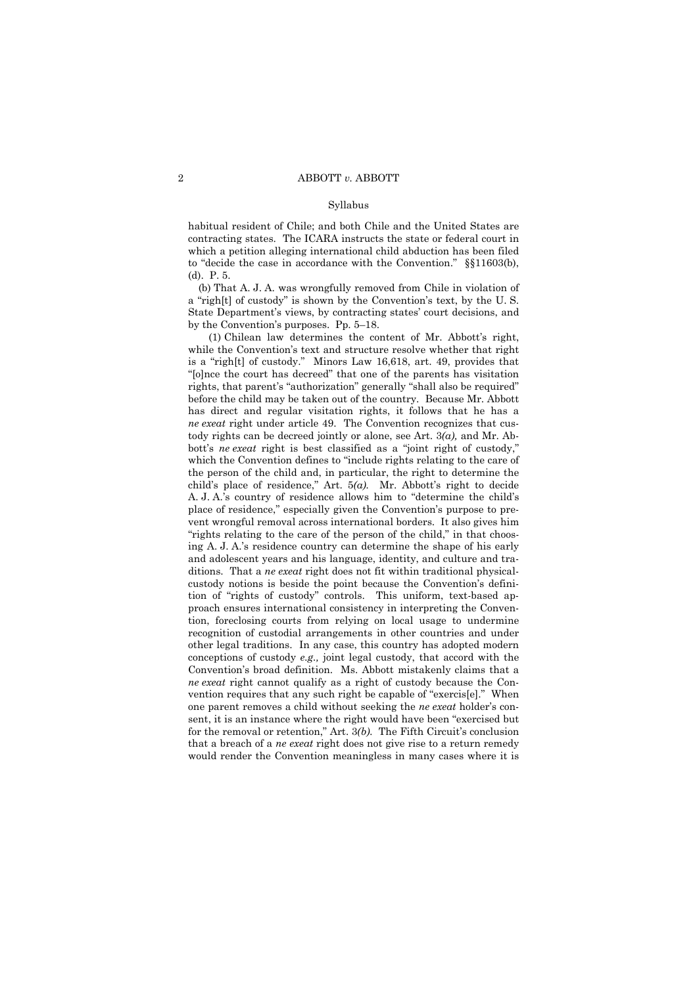habitual resident of Chile; and both Chile and the United States are contracting states. The ICARA instructs the state or federal court in which a petition alleging international child abduction has been filed to "decide the case in accordance with the Convention." §§11603(b), (d). P. 5.

(b) That A. J. A. was wrongfully removed from Chile in violation of a "righ[t] of custody" is shown by the Convention's text, by the U. S. State Department's views, by contracting states' court decisions, and by the Convention's purposes. Pp. 5–18.

(1) Chilean law determines the content of Mr. Abbott's right, while the Convention's text and structure resolve whether that right is a "righ[t] of custody." Minors Law 16,618, art. 49, provides that "[o]nce the court has decreed" that one of the parents has visitation rights, that parent's "authorization" generally "shall also be required" before the child may be taken out of the country. Because Mr. Abbott has direct and regular visitation rights, it follows that he has a *ne exeat* right under article 49. The Convention recognizes that custody rights can be decreed jointly or alone, see Art. 3*(a),* and Mr. Abbott's *ne exeat* right is best classified as a "joint right of custody," which the Convention defines to "include rights relating to the care of the person of the child and, in particular, the right to determine the child's place of residence," Art. 5*(a).* Mr. Abbott's right to decide A. J. A.'s country of residence allows him to "determine the child's place of residence," especially given the Convention's purpose to prevent wrongful removal across international borders. It also gives him "rights relating to the care of the person of the child," in that choosing A. J. A.'s residence country can determine the shape of his early and adolescent years and his language, identity, and culture and traditions. That a *ne exeat* right does not fit within traditional physicalcustody notions is beside the point because the Convention's definition of "rights of custody" controls. This uniform, text-based approach ensures international consistency in interpreting the Convention, foreclosing courts from relying on local usage to undermine recognition of custodial arrangements in other countries and under other legal traditions. In any case, this country has adopted modern conceptions of custody *e.g.*, joint legal custody, that accord with the Convention's broad definition. Ms. Abbott mistakenly claims that a *ne exeat* right cannot qualify as a right of custody because the Convention requires that any such right be capable of "exercis[e]." When one parent removes a child without seeking the *ne exeat* holder's consent, it is an instance where the right would have been "exercised but for the removal or retention," Art. 3*(b).* The Fifth Circuit's conclusion that a breach of a *ne exeat* right does not give rise to a return remedy would render the Convention meaningless in many cases where it is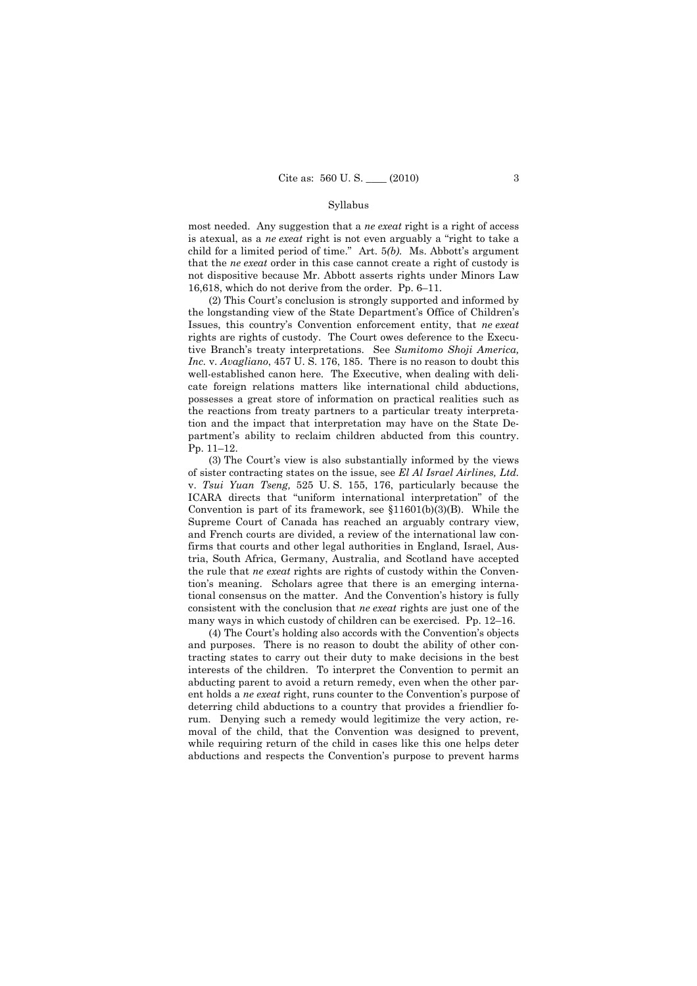most needed. Any suggestion that a *ne exeat* right is a right of access is atexual, as a *ne exeat* right is not even arguably a "right to take a child for a limited period of time." Art. 5*(b).* Ms. Abbott's argument that the *ne exeat* order in this case cannot create a right of custody is not dispositive because Mr. Abbott asserts rights under Minors Law 16,618, which do not derive from the order. Pp. 6–11.

(2) This Court's conclusion is strongly supported and informed by the longstanding view of the State Department's Office of Children's Issues, this country's Convention enforcement entity, that *ne exeat*  rights are rights of custody. The Court owes deference to the Executive Branch's treaty interpretations. See *Sumitomo Shoji America, Inc.* v. *Avagliano*, 457 U. S. 176, 185. There is no reason to doubt this well-established canon here. The Executive, when dealing with delicate foreign relations matters like international child abductions, possesses a great store of information on practical realities such as the reactions from treaty partners to a particular treaty interpretation and the impact that interpretation may have on the State Department's ability to reclaim children abducted from this country. Pp. 11–12.

(3) The Court's view is also substantially informed by the views of sister contracting states on the issue, see *El Al Israel Airlines, Ltd.*  v. *Tsui Yuan Tseng,* 525 U. S. 155, 176, particularly because the ICARA directs that "uniform international interpretation" of the Convention is part of its framework, see  $$11601(b)(3)(B)$ . While the Supreme Court of Canada has reached an arguably contrary view, and French courts are divided, a review of the international law confirms that courts and other legal authorities in England, Israel, Austria, South Africa, Germany, Australia, and Scotland have accepted the rule that *ne exeat* rights are rights of custody within the Convention's meaning. Scholars agree that there is an emerging international consensus on the matter. And the Convention's history is fully consistent with the conclusion that *ne exeat* rights are just one of the many ways in which custody of children can be exercised. Pp. 12–16.

(4) The Court's holding also accords with the Convention's objects and purposes. There is no reason to doubt the ability of other contracting states to carry out their duty to make decisions in the best interests of the children. To interpret the Convention to permit an abducting parent to avoid a return remedy, even when the other parent holds a *ne exeat* right, runs counter to the Convention's purpose of deterring child abductions to a country that provides a friendlier forum. Denying such a remedy would legitimize the very action, removal of the child, that the Convention was designed to prevent, while requiring return of the child in cases like this one helps deter abductions and respects the Convention's purpose to prevent harms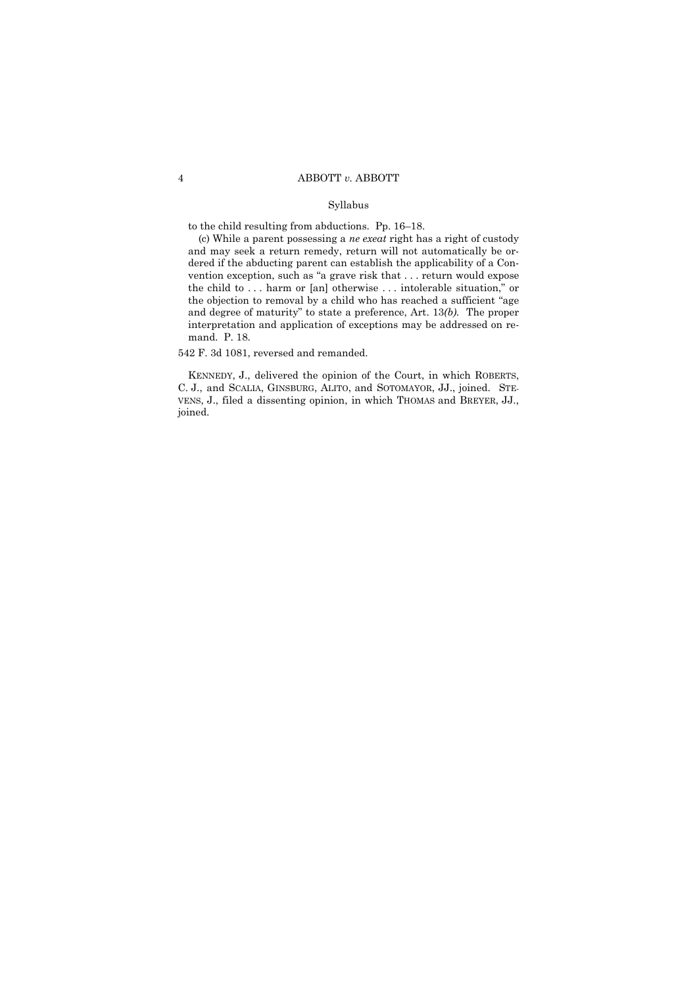to the child resulting from abductions. Pp. 16–18.

(c) While a parent possessing a *ne exeat* right has a right of custody and may seek a return remedy, return will not automatically be ordered if the abducting parent can establish the applicability of a Convention exception, such as "a grave risk that . . . return would expose the child to . . . harm or [an] otherwise . . . intolerable situation," or the objection to removal by a child who has reached a sufficient "age and degree of maturity" to state a preference, Art. 13*(b).* The proper interpretation and application of exceptions may be addressed on remand. P. 18.

542 F. 3d 1081, reversed and remanded.

KENNEDY, J., delivered the opinion of the Court, in which ROBERTS, C. J., and SCALIA, GINSBURG, ALITO, and SOTOMAYOR, JJ., joined. STE-VENS, J., filed a dissenting opinion, in which THOMAS and BREYER, JJ., joined.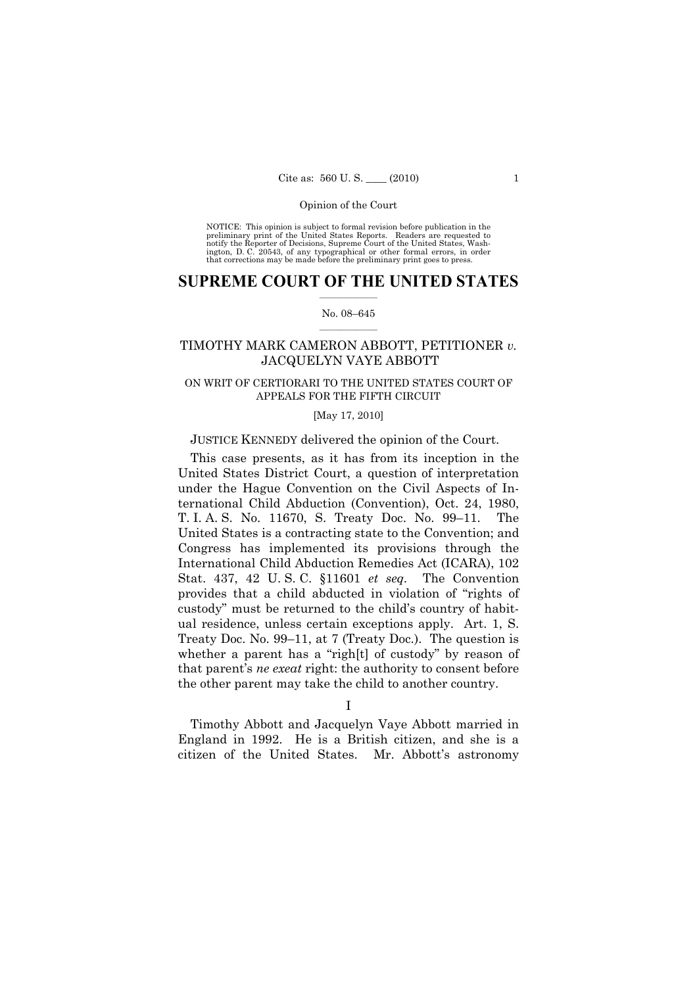NOTICE: This opinion is subject to formal revision before publication in the preliminary print of the United States Reports. Readers are requested to<br>notify the Reporter of Decisions, Supreme Court of the United States, Wash-<br>ington, D. C. 20543, of any typographical or other formal errors, in orde

### $\sim$   $\sim$   $\sim$   $\sim$   $\sim$   $\sim$ **SUPREME COURT OF THE UNITED STATES**

#### $\frac{1}{2}$  ,  $\frac{1}{2}$  ,  $\frac{1}{2}$  ,  $\frac{1}{2}$  ,  $\frac{1}{2}$  ,  $\frac{1}{2}$ No. 08–645

## TIMOTHY MARK CAMERON ABBOTT, PETITIONER *v.*  JACQUELYN VAYE ABBOTT

## ON WRIT OF CERTIORARI TO THE UNITED STATES COURT OF APPEALS FOR THE FIFTH CIRCUIT

## [May 17, 2010]

# JUSTICE KENNEDY delivered the opinion of the Court.

This case presents, as it has from its inception in the United States District Court, a question of interpretation under the Hague Convention on the Civil Aspects of International Child Abduction (Convention), Oct. 24, 1980, T. I. A. S. No. 11670, S. Treaty Doc. No. 99–11. The United States is a contracting state to the Convention; and Congress has implemented its provisions through the International Child Abduction Remedies Act (ICARA), 102 Stat. 437, 42 U. S. C. §11601 *et seq.* The Convention provides that a child abducted in violation of "rights of custody" must be returned to the child's country of habitual residence, unless certain exceptions apply. Art. 1, S. Treaty Doc. No. 99–11, at 7 (Treaty Doc.). The question is whether a parent has a "righ[t] of custody" by reason of that parent's *ne exeat* right: the authority to consent before the other parent may take the child to another country.

I

Timothy Abbott and Jacquelyn Vaye Abbott married in England in 1992. He is a British citizen, and she is a citizen of the United States. Mr. Abbott's astronomy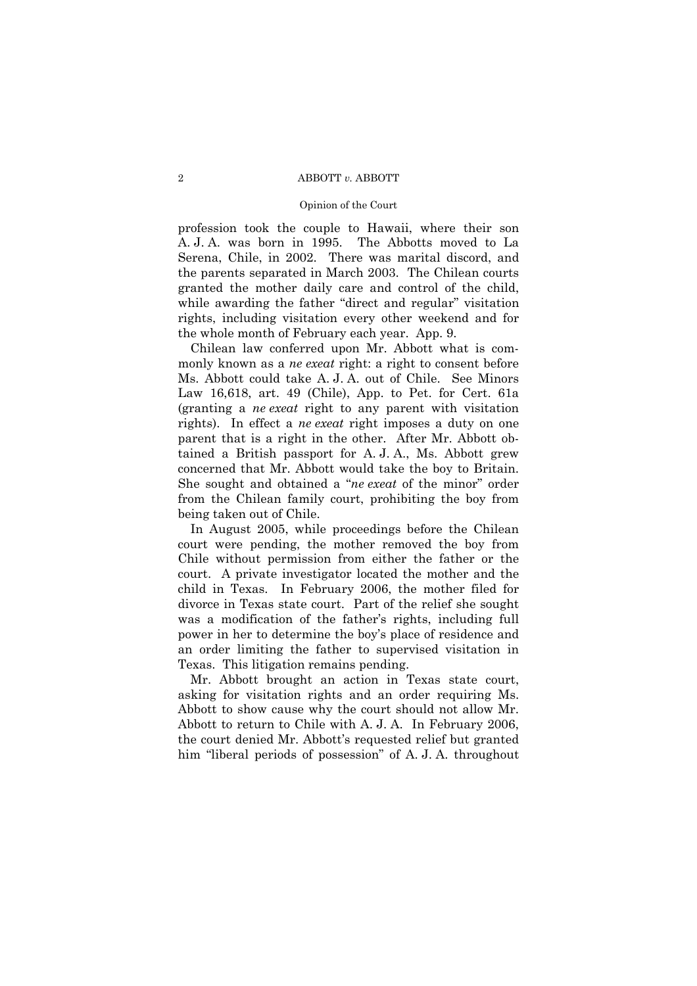profession took the couple to Hawaii, where their son A. J. A. was born in 1995. The Abbotts moved to La Serena, Chile, in 2002. There was marital discord, and the parents separated in March 2003. The Chilean courts granted the mother daily care and control of the child, while awarding the father "direct and regular" visitation rights, including visitation every other weekend and for the whole month of February each year. App. 9.

Chilean law conferred upon Mr. Abbott what is commonly known as a *ne exeat* right: a right to consent before Ms. Abbott could take A. J. A. out of Chile. See Minors Law 16,618, art. 49 (Chile), App. to Pet. for Cert. 61a (granting a *ne exeat*  right to any parent with visitation rights). In effect a *ne exeat*  right imposes a duty on one parent that is a right in the other. After Mr. Abbott obtained a British passport for A. J. A., Ms. Abbott grew concerned that Mr. Abbott would take the boy to Britain. She sought and obtained a "*ne exeat*  of the minor" order from the Chilean family court, prohibiting the boy from being taken out of Chile.

In August 2005, while proceedings before the Chilean court were pending, the mother removed the boy from Chile without permission from either the father or the court. A private investigator located the mother and the child in Texas. In February 2006, the mother filed for divorce in Texas state court. Part of the relief she sought was a modification of the father's rights, including full power in her to determine the boy's place of residence and an order limiting the father to supervised visitation in Texas. This litigation remains pending.

Mr. Abbott brought an action in Texas state court, asking for visitation rights and an order requiring Ms. Abbott to show cause why the court should not allow Mr. Abbott to return to Chile with A. J. A. In February 2006, the court denied Mr. Abbott's requested relief but granted him "liberal periods of possession" of A. J. A. throughout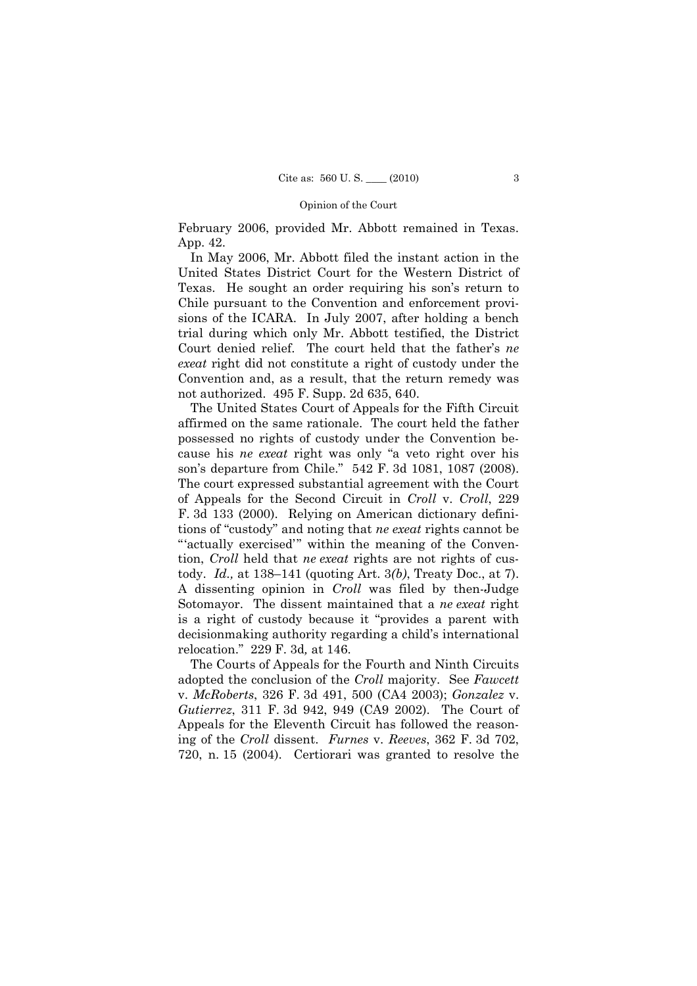February 2006, provided Mr. Abbott remained in Texas. App. 42.

In May 2006, Mr. Abbott filed the instant action in the United States District Court for the Western District of Texas. He sought an order requiring his son's return to Chile pursuant to the Convention and enforcement provisions of the ICARA. In July 2007, after holding a bench trial during which only Mr. Abbott testified, the District Court denied relief. The court held that the father's *ne exeat* right did not constitute a right of custody under the Convention and, as a result, that the return remedy was not authorized. 495 F. Supp. 2d 635, 640.

The United States Court of Appeals for the Fifth Circuit affirmed on the same rationale. The court held the father possessed no rights of custody under the Convention because his *ne exeat*  right was only "a veto right over his son's departure from Chile." 542 F. 3d 1081, 1087 (2008). The court expressed substantial agreement with the Court of Appeals for the Second Circuit in *Croll*  v. *Croll*, 229 F. 3d 133 (2000). Relying on American dictionary definitions of "custody" and noting that *ne exeat* rights cannot be "'actually exercised'" within the meaning of the Convention, *Croll* held that *ne exeat* rights are not rights of custody. *Id.,* at 138–141 (quoting Art. 3*(b)*, Treaty Doc., at 7). A dissenting opinion in *Croll* was filed by then-Judge Sotomayor. The dissent maintained that a *ne exeat* right is a right of custody because it "provides a parent with decisionmaking authority regarding a child's international relocation." 229 F. 3d*,* at 146.

The Courts of Appeals for the Fourth and Ninth Circuits adopted the conclusion of the *Croll* majority. See *Fawcett*  v. *McRoberts*, 326 F. 3d 491, 500 (CA4 2003); *Gonzalez* v. *Gutierrez*, 311 F. 3d 942, 949 (CA9 2002). The Court of Appeals for the Eleventh Circuit has followed the reasoning of the *Croll* dissent. *Furnes* v. *Reeves*, 362 F. 3d 702, 720, n. 15 (2004). Certiorari was granted to resolve the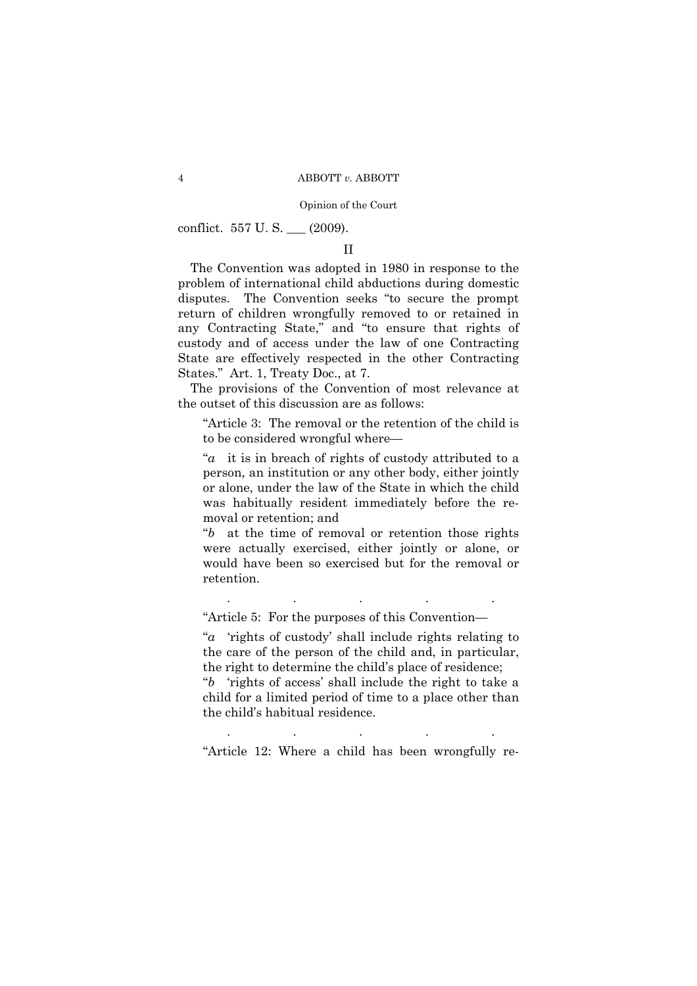conflict. 557 U. S. \_\_\_ (2009).

## II

The Convention was adopted in 1980 in response to the problem of international child abductions during domestic disputes. The Convention seeks "to secure the prompt return of children wrongfully removed to or retained in any Contracting State," and "to ensure that rights of custody and of access under the law of one Contracting State are effectively respected in the other Contracting States." Art. 1, Treaty Doc., at 7.

The provisions of the Convention of most relevance at the outset of this discussion are as follows:

"Article 3: The removal or the retention of the child is to be considered wrongful where—

"*a*  it is in breach of rights of custody attributed to a person, an institution or any other body, either jointly or alone, under the law of the State in which the child was habitually resident immediately before the removal or retention; and

"*b*  at the time of removal or retention those rights were actually exercised, either iointly or alone, or would have been so exercised but for the removal or retention.

. The same state is a set of the same state  $\mathcal{L}^{\mathcal{L}}$ 

"Article 5: For the purposes of this Convention—

"*a*  'rights of custody' shall include rights relating to the care of the person of the child and, in particular, the right to determine the child's place of residence;

"*b*  'rights of access' shall include the right to take a child for a limited period of time to a place other than the child's habitual residence.

. The same is a set of the same in the same in the same is a set of the same in the same in the same in the same in the same in the same in the same in the same in the same in the same in the same in the same in the same "Article 12: Where a child has been wrongfully re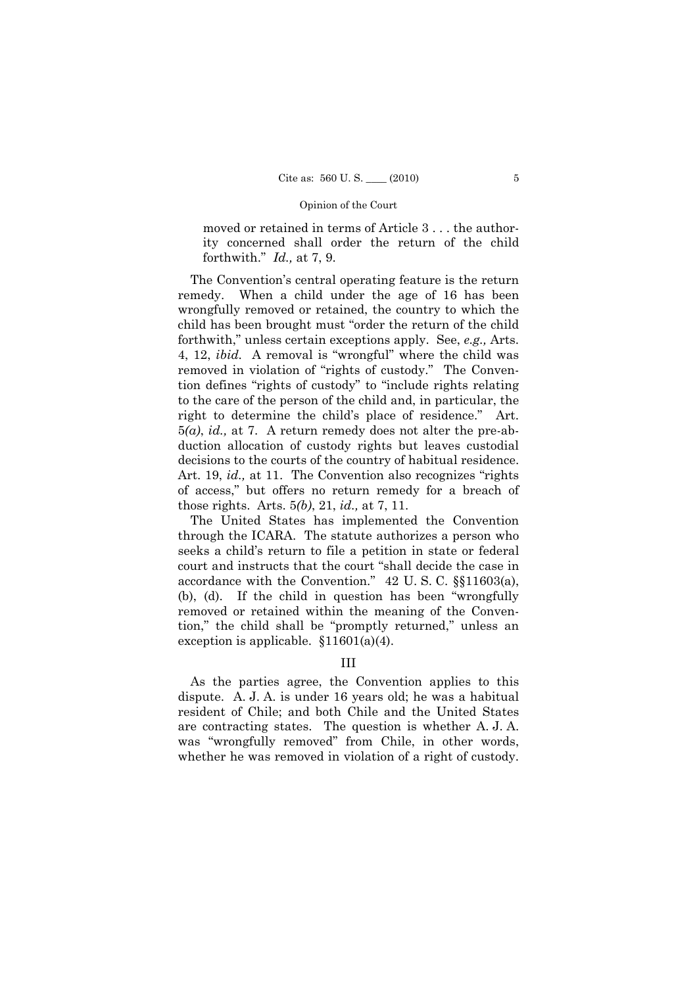moved or retained in terms of Article 3 . . . the authority concerned shall order the return of the child forthwith." *Id.,* at 7, 9.

The Convention's central operating feature is the return remedy. When a child under the age of 16 has been wrongfully removed or retained, the country to which the child has been brought must "order the return of the child forthwith," unless certain exceptions apply. See, *e.g.,* Arts. 4, 12, *ibid.* A removal is "wrongful" where the child was removed in violation of "rights of custody." The Convention defines "rights of custody" to "include rights relating to the care of the person of the child and, in particular, the right to determine the child's place of residence." Art.  $5(a)$ , *id.*, at 7. A return remedy does not alter the pre-abduction allocation of custody rights but leaves custodial decisions to the courts of the country of habitual residence. Art. 19, *id.*, at 11. The Convention also recognizes "rights" of access," but offers no return remedy for a breach of those rights. Arts. 5*(b)*, 21, *id.,* at 7, 11.

The United States has implemented the Convention through the ICARA. The statute authorizes a person who seeks a child's return to file a petition in state or federal court and instructs that the court "shall decide the case in accordance with the Convention." 42 U. S. C. §§11603(a), (b), (d). If the child in question has been "wrongfully removed or retained within the meaning of the Convention," the child shall be "promptly returned," unless an exception is applicable. §11601(a)(4).

## III

As the parties agree, the Convention applies to this dispute. A. J. A. is under 16 years old; he was a habitual resident of Chile; and both Chile and the United States are contracting states. The question is whether A. J. A. was "wrongfully removed" from Chile, in other words, whether he was removed in violation of a right of custody.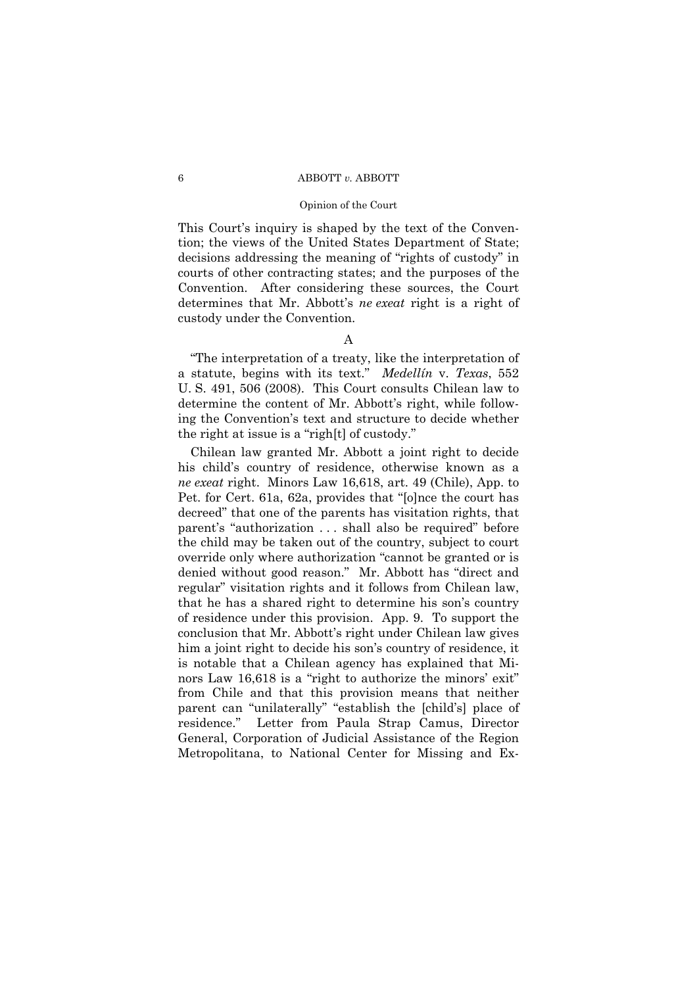## 6 ABBOTT *v.* ABBOTT

#### Opinion of the Court

This Court's inquiry is shaped by the text of the Convention; the views of the United States Department of State; decisions addressing the meaning of "rights of custody" in courts of other contracting states; and the purposes of the Convention. After considering these sources, the Court determines that Mr. Abbott's *ne exeat* right is a right of custody under the Convention.

A

"The interpretation of a treaty, like the interpretation of a statute, begins with its text." *Medellín* v. *Texas*, 552 U. S. 491, 506 (2008). This Court consults Chilean law to determine the content of Mr. Abbott's right, while following the Convention's text and structure to decide whether the right at issue is a "righ[t] of custody."

Chilean law granted Mr. Abbott a joint right to decide his child's country of residence, otherwise known as a *ne exeat* right. Minors Law 16,618, art. 49 (Chile), App. to Pet. for Cert. 61a, 62a, provides that "[o]nce the court has decreed" that one of the parents has visitation rights, that parent's "authorization . . . shall also be required" before the child may be taken out of the country, subject to court override only where authorization "cannot be granted or is denied without good reason." Mr. Abbott has "direct and regular" visitation rights and it follows from Chilean law, that he has a shared right to determine his son's country of residence under this provision. App. 9. To support the conclusion that Mr. Abbott's right under Chilean law gives him a joint right to decide his son's country of residence, it is notable that a Chilean agency has explained that Minors Law 16,618 is a "right to authorize the minors' exit" from Chile and that this provision means that neither parent can "unilaterally" "establish the [child's] place of residence." Letter from Paula Strap Camus, Director General, Corporation of Judicial Assistance of the Region Metropolitana, to National Center for Missing and Ex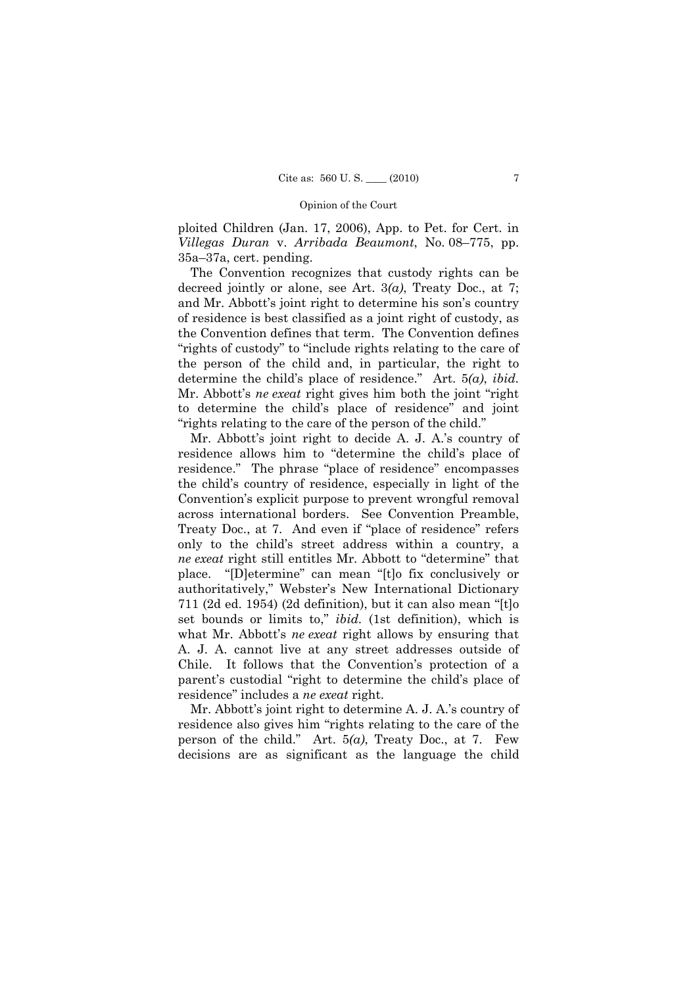ploited Children (Jan. 17, 2006), App. to Pet. for Cert. in *Villegas Duran* v. *Arribada Beaumont*, No. 08–775, pp. 35a–37a, cert. pending.

The Convention recognizes that custody rights can be decreed jointly or alone, see Art. 3(*a*), Treaty Doc., at 7; and Mr. Abbott's joint right to determine his son's country of residence is best classified as a joint right of custody, as the Convention defines that term. The Convention defines "rights of custody" to "include rights relating to the care of the person of the child and, in particular, the right to determine the child's place of residence." Art. 5*(a)*, *ibid.*  Mr. Abbott's *ne exeat* right gives him both the joint "right to determine the child's place of residence" and joint "rights relating to the care of the person of the child."

Mr. Abbott's joint right to decide A. J. A.'s country of residence allows him to "determine the child's place of residence." The phrase "place of residence" encompasses the child's country of residence, especially in light of the Convention's explicit purpose to prevent wrongful removal across international borders. See Convention Preamble, Treaty Doc., at 7. And even if "place of residence" refers only to the child's street address within a country, a *ne exeat* right still entitles Mr. Abbott to "determine" that place. "[D]etermine" can mean "[t]o fix conclusively or authoritatively," Webster's New International Dictionary 711 (2d ed. 1954) (2d definition), but it can also mean "[t]o set bounds or limits to," *ibid.* (1st definition), which is what Mr. Abbott's *ne exeat* right allows by ensuring that A. J. A. cannot live at any street addresses outside of Chile. It follows that the Convention's protection of a parent's custodial "right to determine the child's place of residence" includes a *ne exeat* right.

Mr. Abbott's joint right to determine A. J. A.'s country of residence also gives him "rights relating to the care of the person of the child." Art.  $5(a)$ , Treaty Doc., at 7. Few decisions are as significant as the language the child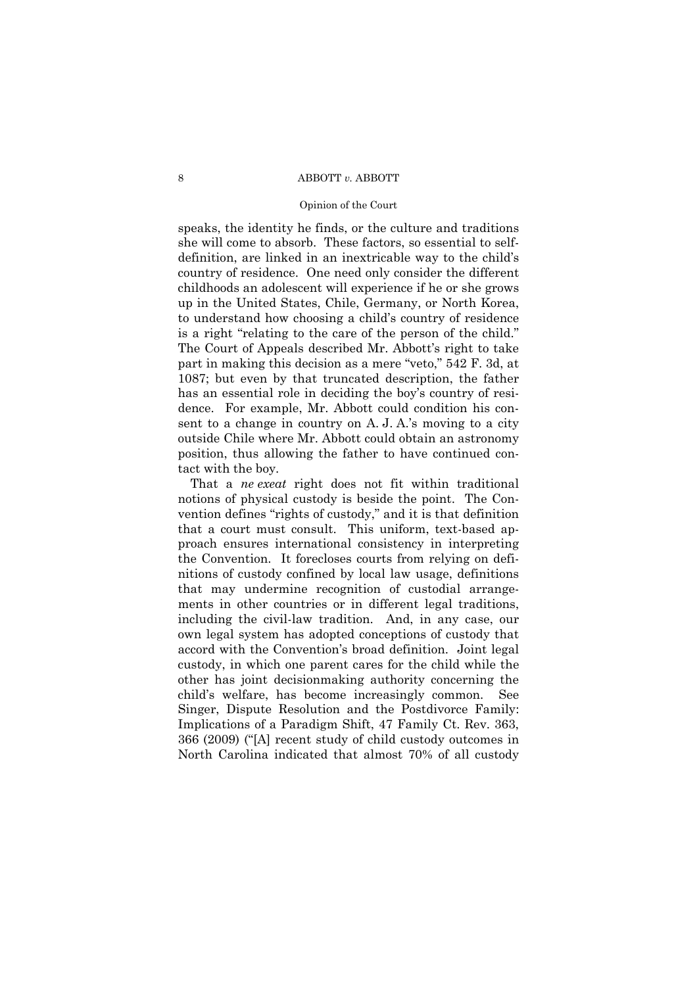## 8 ABBOTT *v.* ABBOTT

#### Opinion of the Court

speaks, the identity he finds, or the culture and traditions she will come to absorb. These factors, so essential to selfdefinition, are linked in an inextricable way to the child's country of residence. One need only consider the different childhoods an adolescent will experience if he or she grows up in the United States, Chile, Germany, or North Korea, to understand how choosing a child's country of residence is a right "relating to the care of the person of the child." The Court of Appeals described Mr. Abbott's right to take part in making this decision as a mere "veto," 542 F. 3d, at 1087; but even by that truncated description, the father has an essential role in deciding the boy's country of residence. For example, Mr. Abbott could condition his consent to a change in country on A. J. A.'s moving to a city outside Chile where Mr. Abbott could obtain an astronomy position, thus allowing the father to have continued contact with the boy.

That a *ne exeat* right does not fit within traditional notions of physical custody is beside the point. The Convention defines "rights of custody," and it is that definition that a court must consult. This uniform, text-based approach ensures international consistency in interpreting the Convention. It forecloses courts from relying on definitions of custody confined by local law usage, definitions that may undermine recognition of custodial arrangements in other countries or in different legal traditions, including the civil-law tradition. And, in any case, our own legal system has adopted conceptions of custody that accord with the Convention's broad definition. Joint legal custody, in which one parent cares for the child while the other has joint decisionmaking authority concerning the child's welfare, has become increasingly common. See Singer, Dispute Resolution and the Postdivorce Family: Implications of a Paradigm Shift, 47 Family Ct. Rev. 363, 366 (2009) ("[A] recent study of child custody outcomes in North Carolina indicated that almost 70% of all custody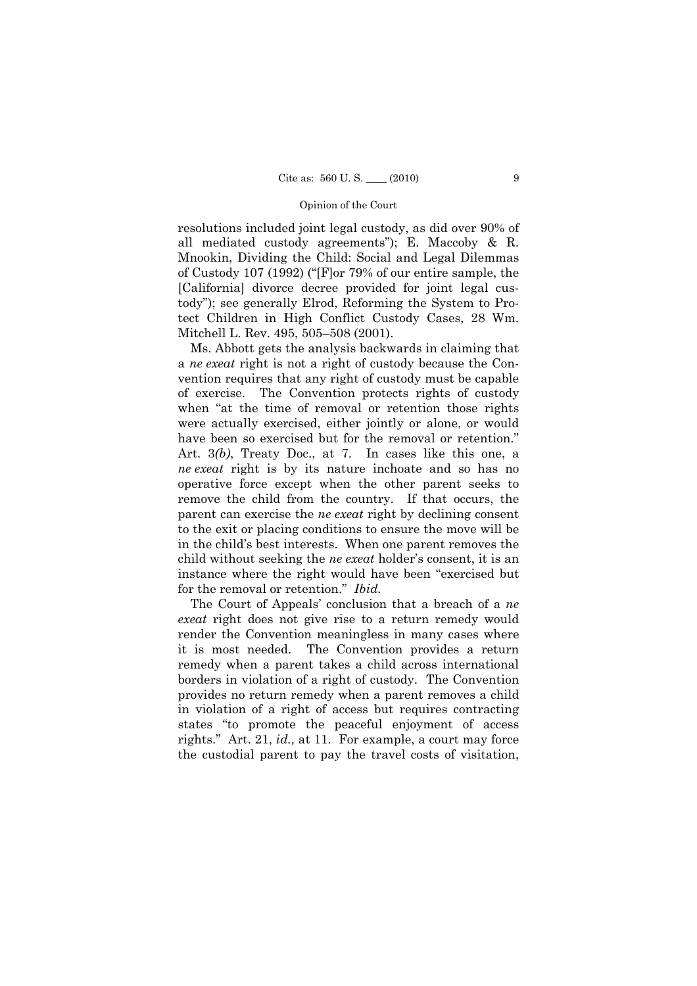resolutions included joint legal custody, as did over 90% of all mediated custody agreements"); E. Maccoby & R. Mnookin, Dividing the Child: Social and Legal Dilemmas of Custody 107 (1992) ("[F]or 79% of our entire sample, the [California] divorce decree provided for joint legal custody"); see generally Elrod, Reforming the System to Protect Children in High Conflict Custody Cases, 28 Wm. Mitchell L. Rev. 495, 505–508 (2001).

Ms. Abbott gets the analysis backwards in claiming that a *ne exeat* right is not a right of custody because the Convention requires that any right of custody must be capable of exercise. The Convention protects rights of custody when "at the time of removal or retention those rights were actually exercised, either jointly or alone, or would have been so exercised but for the removal or retention." Art. 3(b), Treaty Doc., at 7. In cases like this one, a *ne exeat* right is by its nature inchoate and so has no operative force except when the other parent seeks to remove the child from the country. If that occurs, the parent can exercise the *ne exeat* right by declining consent to the exit or placing conditions to ensure the move will be in the child's best interests. When one parent removes the child without seeking the *ne exeat* holder's consent, it is an instance where the right would have been "exercised but for the removal or retention." *Ibid.* 

The Court of Appeals' conclusion that a breach of a *ne exeat*  right does not give rise to a return remedy would render the Convention meaningless in many cases where it is most needed. The Convention provides a return remedy when a parent takes a child across international borders in violation of a right of custody. The Convention provides no return remedy when a parent removes a child in violation of a right of access but requires contracting states "to promote the peaceful enjoyment of access rights." Art. 21, *id.,* at 11. For example, a court may force the custodial parent to pay the travel costs of visitation,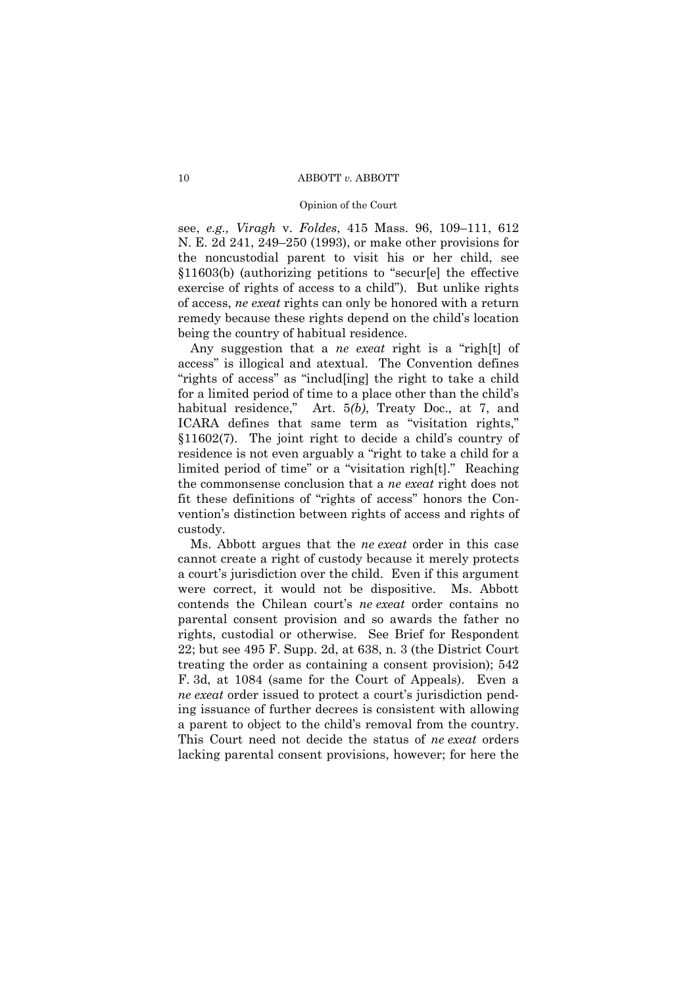## 10 ABBOTT *v.* ABBOTT

#### Opinion of the Court

see, *e.g., Viragh* v. *Foldes*, 415 Mass. 96, 109–111, 612 N. E. 2d 241, 249–250 (1993), or make other provisions for the noncustodial parent to visit his or her child, see §11603(b) (authorizing petitions to "secur[e] the effective exercise of rights of access to a child"). But unlike rights of access, *ne exeat* rights can only be honored with a return remedy because these rights depend on the child's location being the country of habitual residence.

Any suggestion that a *ne exeat* right is a "righ[t] of access" is illogical and atextual. The Convention defines "rights of access" as "includ[ing] the right to take a child for a limited period of time to a place other than the child's habitual residence," Art. 5(b), Treaty Doc., at 7, and ICARA defines that same term as "visitation rights,"  $§11602(7)$ . The joint right to decide a child's country of residence is not even arguably a "right to take a child for a limited period of time" or a "visitation righ[t]." Reaching the commonsense conclusion that a *ne exeat* right does not fit these definitions of "rights of access" honors the Convention's distinction between rights of access and rights of custody.

Ms. Abbott argues that the *ne exeat* order in this case cannot create a right of custody because it merely protects a court's jurisdiction over the child. Even if this argument were correct, it would not be dispositive. Ms. Abbott contends the Chilean court's *ne exeat*  order contains no parental consent provision and so awards the father no rights, custodial or otherwise. See Brief for Respondent 22; but see 495 F. Supp. 2d, at 638, n. 3 (the District Court treating the order as containing a consent provision); 542 F. 3d, at 1084 (same for the Court of Appeals). Even a *ne exeat* order issued to protect a court's jurisdiction pending issuance of further decrees is consistent with allowing a parent to object to the child's removal from the country. This Court need not decide the status of *ne exeat*  orders lacking parental consent provisions, however; for here the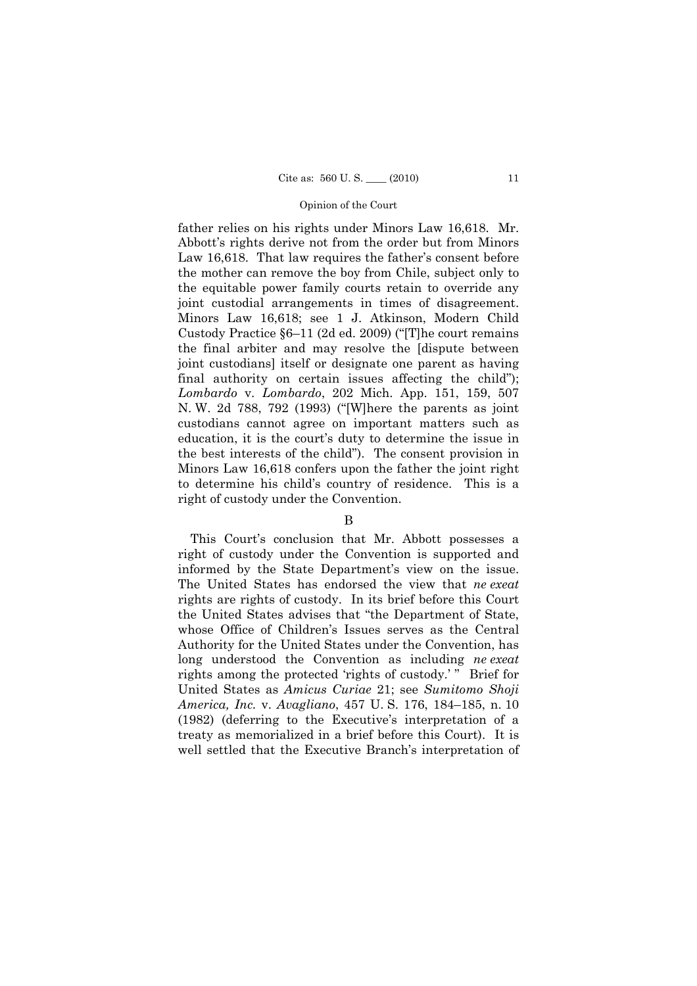father relies on his rights under Minors Law 16,618. Mr. Abbott's rights derive not from the order but from Minors Law 16,618. That law requires the father's consent before the mother can remove the boy from Chile, subject only to the equitable power family courts retain to override any joint custodial arrangements in times of disagreement. Minors Law 16,618; see 1 J. Atkinson, Modern Child Custody Practice §6–11 (2d ed. 2009) ("[T]he court remains the final arbiter and may resolve the [dispute between joint custodians] itself or designate one parent as having final authority on certain issues affecting the child"); *Lombardo* v. *Lombardo*, 202 Mich. App. 151, 159, 507 N. W. 2d 788, 792 (1993) ("[W]here the parents as joint custodians cannot agree on important matters such as education, it is the court's duty to determine the issue in the best interests of the child"). The consent provision in Minors Law 16,618 confers upon the father the joint right to determine his child's country of residence. This is a right of custody under the Convention.

## $\overline{B}$

This Court's conclusion that Mr. Abbott possesses a right of custody under the Convention is supported and informed by the State Department's view on the issue. The United States has endorsed the view that *ne exeat*  rights are rights of custody. In its brief before this Court the United States advises that "the Department of State, whose Office of Children's Issues serves as the Central Authority for the United States under the Convention, has long understood the Convention as including *ne exeat*  rights among the protected 'rights of custody.' " Brief for United States as *Amicus Curiae* 21; see *Sumitomo Shoji America, Inc.* v. *Avagliano*, 457 U. S. 176, 184–185, n. 10 (1982) (deferring to the Executive's interpretation of a treaty as memorialized in a brief before this Court). It is well settled that the Executive Branch's interpretation of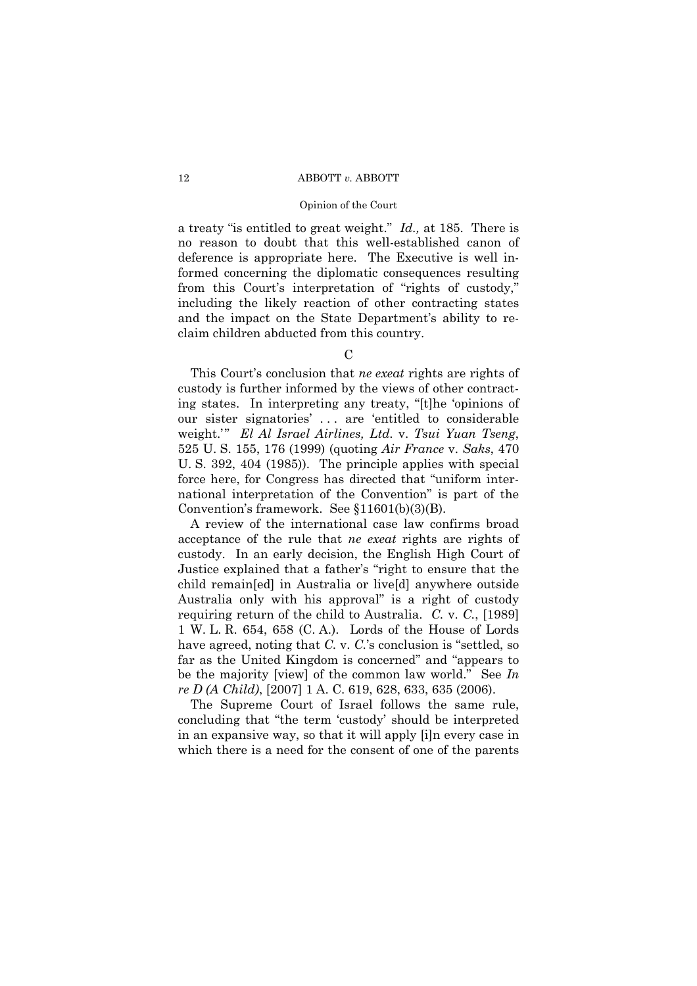## 12 ABBOTT *v.* ABBOTT

#### Opinion of the Court

a treaty "is entitled to great weight." *Id.,* at 185. There is no reason to doubt that this well-established canon of deference is appropriate here. The Executive is well informed concerning the diplomatic consequences resulting from this Court's interpretation of "rights of custody," including the likely reaction of other contracting states and the impact on the State Department's ability to reclaim children abducted from this country.

 $\mathcal{C}$ 

This Court's conclusion that *ne exeat* rights are rights of custody is further informed by the views of other contracting states. In interpreting any treaty, "[t]he 'opinions of our sister signatories' ... are 'entitled to considerable weight.'" *El Al Israel Airlines, Ltd.* v. *Tsui Yuan Tseng*, 525 U. S. 155, 176 (1999) (quoting *Air France* v. *Saks*, 470 U. S. 392, 404 (1985)). The principle applies with special force here, for Congress has directed that "uniform international interpretation of the Convention" is part of the Convention's framework. See §11601(b)(3)(B).

A review of the international case law confirms broad acceptance of the rule that *ne exeat* rights are rights of custody. In an early decision, the English High Court of Justice explained that a father's "right to ensure that the child remain[ed] in Australia or live[d] anywhere outside Australia only with his approval" is a right of custody requiring return of the child to Australia. *C.* v. *C.*, [1989] 1 W. L. R. 654, 658 (C. A.). Lords of the House of Lords have agreed, noting that *C.* v. *C.*'s conclusion is "settled, so far as the United Kingdom is concerned" and "appears to be the majority [view] of the common law world." See *In re D (A Child)*, [2007] 1 A. C. 619, 628, 633, 635 (2006).

The Supreme Court of Israel follows the same rule, concluding that "the term 'custody' should be interpreted in an expansive way, so that it will apply [i]n every case in which there is a need for the consent of one of the parents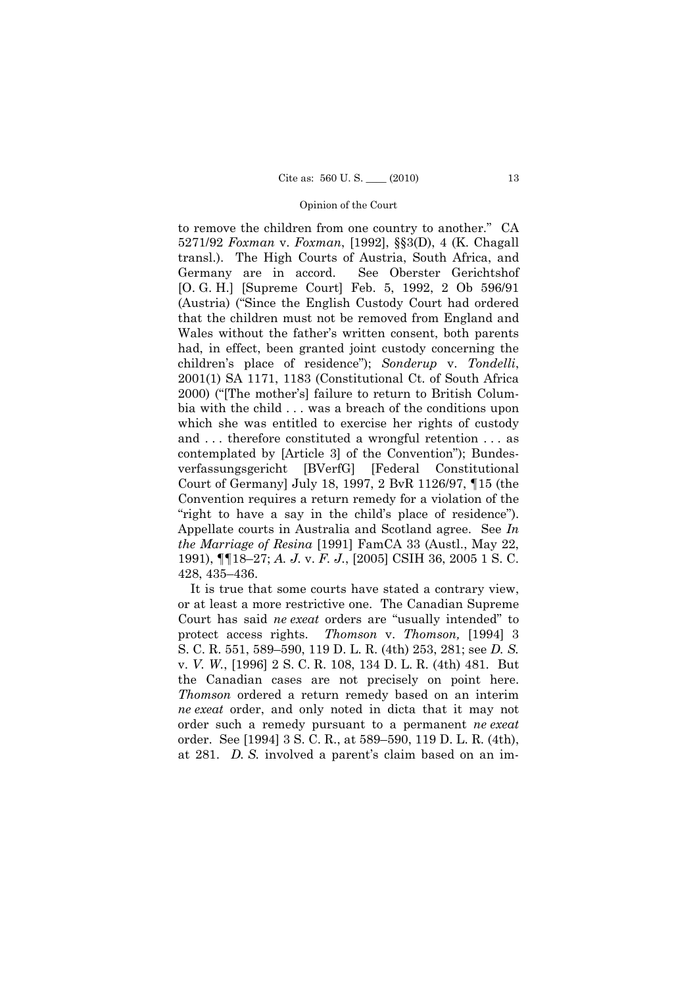to remove the children from one country to another." CA 5271/92 *Foxman* v. *Foxman*, [1992], §§3(D), 4 (K. Chagall transl.). The High Courts of Austria, South Africa, and Germany are in accord. See Oberster Gerichtshof [O. G. H.] [Supreme Court] Feb. 5, 1992, 2 Ob 596/91 (Austria) ("Since the English Custody Court had ordered that the children must not be removed from England and Wales without the father's written consent, both parents had, in effect, been granted joint custody concerning the children's place of residence"); *Sonderup*  v. *Tondelli*, 2001(1) SA 1171, 1183 (Constitutional Ct. of South Africa 2000) ("[The mother's] failure to return to British Columbia with the child . . . was a breach of the conditions upon which she was entitled to exercise her rights of custody and ... therefore constituted a wrongful retention ... as contemplated by [Article 3] of the Convention"); Bundesverfassungsgericht [BVerfG] [Federal Constitutional Court of Germany] July 18, 1997, 2 BvR 1126/97, ¶15 (the Convention requires a return remedy for a violation of the "right to have a say in the child's place of residence"). Appellate courts in Australia and Scotland agree. See *In the Marriage of Resina* [1991] FamCA 33 (Austl., May 22, 1991), ¶¶18–27; *A. J.* v. *F. J.*, [2005] CSIH 36, 2005 1 S. C. 428, 435–436.

It is true that some courts have stated a contrary view, or at least a more restrictive one. The Canadian Supreme Court has said *ne exeat*  orders are "usually intended" to protect access rights. *Thomson v. Thomson*, [1994] 3 S. C. R. 551, 589–590, 119 D. L. R. (4th) 253, 281; see *D. S.*  v. *V. W.*, [1996] 2 S. C. R. 108, 134 D. L. R. (4th) 481. But the Canadian cases are not precisely on point here. *Thomson* ordered a return remedy based on an interim *ne exeat*  order, and only noted in dicta that it may not order such a remedy pursuant to a permanent *ne exeat*  order. See [1994] 3 S. C. R., at 589–590, 119 D. L. R. (4th), at 281. *D. S.*  involved a parent's claim based on an im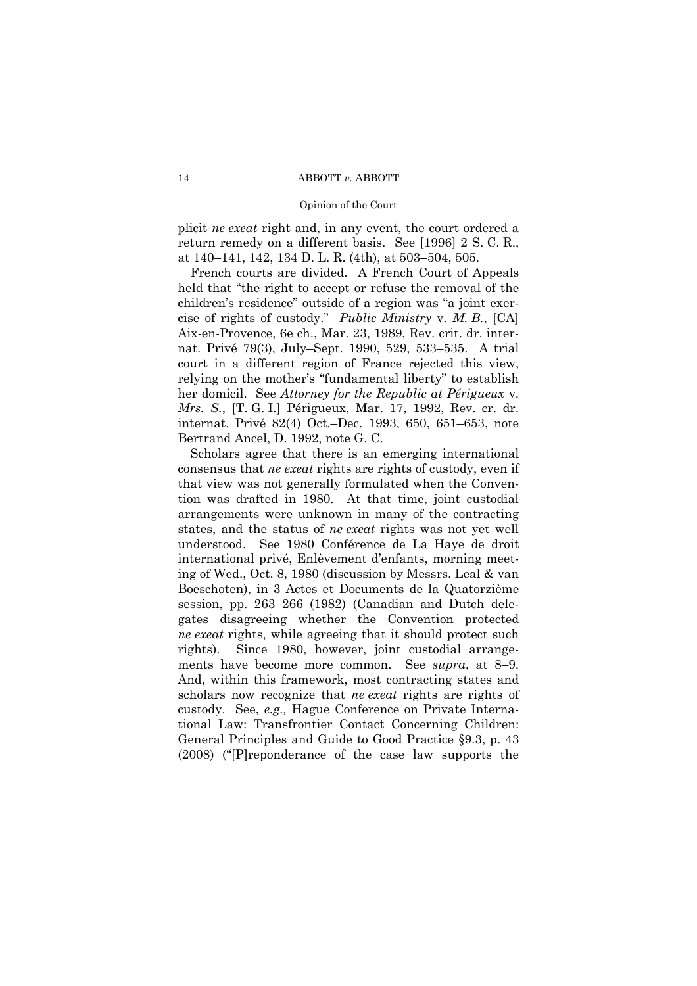plicit *ne exeat* right and, in any event, the court ordered a return remedy on a different basis. See [1996] 2 S. C. R., at 140–141, 142, 134 D. L. R. (4th), at 503–504, 505.

French courts are divided. A French Court of Appeals held that "the right to accept or refuse the removal of the children's residence" outside of a region was "a joint exercise of rights of custody." *Public Ministry*  v. *M. B.*, [CA] Aix-en-Provence, 6e ch., Mar. 23, 1989, Rev. crit. dr. internat. Privé 79(3), July–Sept. 1990, 529, 533–535. A trial court in a different region of France rejected this view, relying on the mother's "fundamental liberty" to establish her domicil. See *Attorney for the Republic at Périgueux* v. *Mrs. S.*, [T. G. I.] Périgueux, Mar. 17, 1992, Rev. cr. dr. internat. Privé 82(4) Oct.–Dec. 1993, 650, 651–653, note Bertrand Ancel, D. 1992, note G. C.

Scholars agree that there is an emerging international consensus that *ne exeat* rights are rights of custody, even if that view was not generally formulated when the Convention was drafted in 1980. At that time, joint custodial arrangements were unknown in many of the contracting states, and the status of *ne exeat*  rights was not yet well understood. See 1980 Conférence de La Haye de droit international privé, Enlèvement d'enfants, morning meeting of Wed., Oct. 8, 1980 (discussion by Messrs. Leal & van Boeschoten), in 3 Actes et Documents de la Quatorzième session, pp. 263–266 (1982) (Canadian and Dutch delegates disagreeing whether the Convention protected *ne exeat* rights, while agreeing that it should protect such rights). Since 1980, however, joint custodial arrangements have become more common. See *supra*, at 8–9. And, within this framework, most contracting states and scholars now recognize that *ne exeat*  rights are rights of custody. See, *e.g.,* Hague Conference on Private International Law: Transfrontier Contact Concerning Children: General Principles and Guide to Good Practice §9.3, p. 43 (2008) ("[P]reponderance of the case law supports the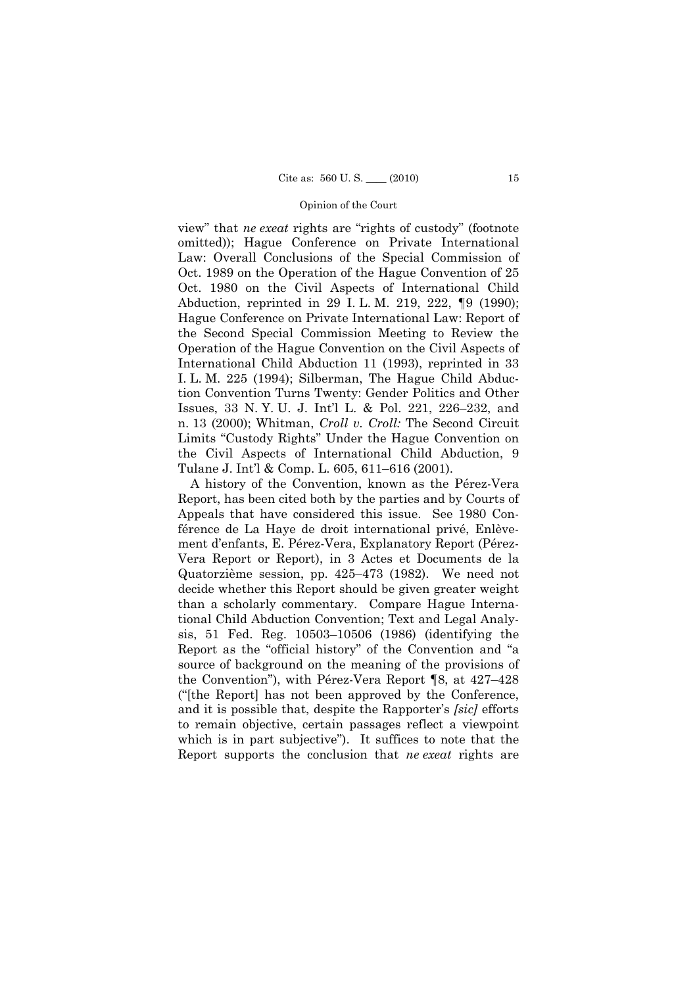view" that *ne exeat* rights are "rights of custody" (footnote omitted)); Hague Conference on Private International Law: Overall Conclusions of the Special Commission of Oct. 1989 on the Operation of the Hague Convention of 25 Oct. 1980 on the Civil Aspects of International Child Abduction, reprinted in 29 I. L. M. 219, 222, ¶9 (1990); Hague Conference on Private International Law: Report of the Second Special Commission Meeting to Review the Operation of the Hague Convention on the Civil Aspects of International Child Abduction 11 (1993), reprinted in 33 I. L. M. 225 (1994); Silberman, The Hague Child Abduction Convention Turns Twenty: Gender Politics and Other Issues, 33 N. Y. U. J. Int'l L. & Pol. 221, 226–232, and n. 13 (2000); Whitman, *Croll v. Croll:* The Second Circuit Limits "Custody Rights" Under the Hague Convention on the Civil Aspects of International Child Abduction, 9 Tulane J. Int'l & Comp. L. 605, 611–616 (2001).

A history of the Convention, known as the Pérez-Vera Report, has been cited both by the parties and by Courts of Appeals that have considered this issue. See 1980 Conférence de La Haye de droit international privé, Enlèvement d'enfants, E. Pérez-Vera, Explanatory Report (Pérez-Vera Report or Report), in 3 Actes et Documents de la Quatorzième session, pp. 425–473 (1982). We need not decide whether this Report should be given greater weight than a scholarly commentary. Compare Hague International Child Abduction Convention; Text and Legal Analysis, 51 Fed. Reg. 10503–10506 (1986) (identifying the Report as the "official history" of the Convention and "a source of background on the meaning of the provisions of the Convention"), with Pérez-Vera Report  $\llbracket 8, 427 - 428 \rrbracket$ ("[the Report] has not been approved by the Conference, and it is possible that, despite the Rapporter's *[sic]* efforts to remain objective, certain passages reflect a viewpoint which is in part subjective"). It suffices to note that the Report supports the conclusion that *ne exeat* rights are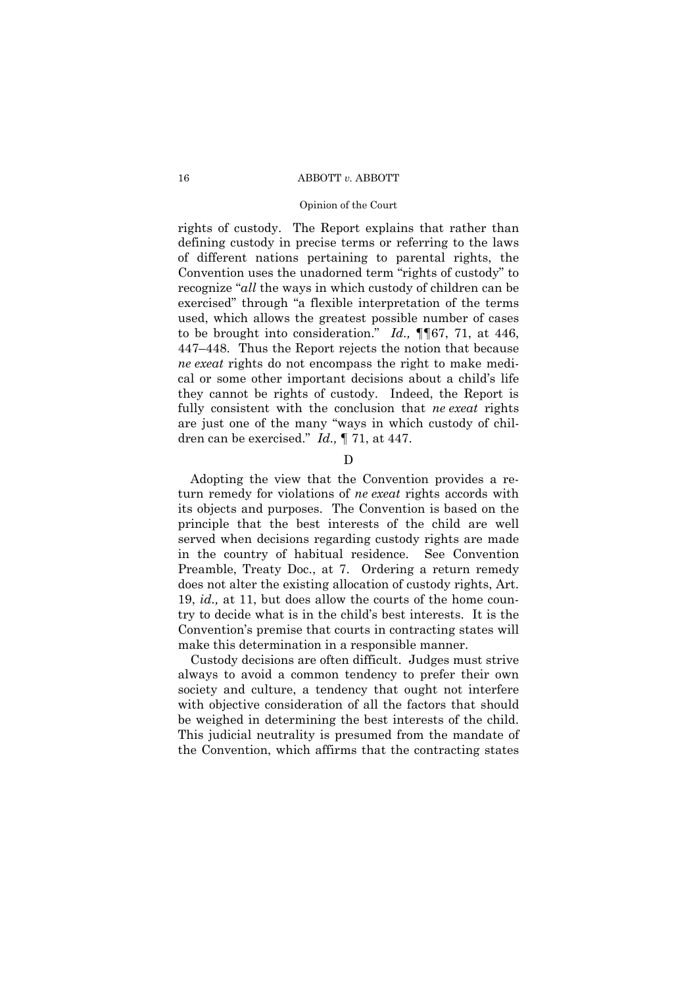## 16 ABBOTT *v.* ABBOTT

#### Opinion of the Court

rights of custody. The Report explains that rather than defining custody in precise terms or referring to the laws of different nations pertaining to parental rights, the Convention uses the unadorned term "rights of custody" to recognize "*all* the ways in which custody of children can be exercised" through "a flexible interpretation of the terms used, which allows the greatest possible number of cases to be brought into consideration." *Id.*, **[**¶67, 71, at 446, 447–448. Thus the Report rejects the notion that because *ne exeat* rights do not encompass the right to make medical or some other important decisions about a child's life they cannot be rights of custody. Indeed, the Report is fully consistent with the conclusion that *ne exeat*  rights are just one of the many "ways in which custody of children can be exercised." *Id.,* ¶ 71, at 447.

## D

Adopting the view that the Convention provides a return remedy for violations of *ne exeat*  rights accords with its objects and purposes. The Convention is based on the principle that the best interests of the child are well served when decisions regarding custody rights are made in the country of habitual residence. See Convention Preamble, Treaty Doc., at 7. Ordering a return remedy does not alter the existing allocation of custody rights, Art. 19, *id.,* at 11, but does allow the courts of the home country to decide what is in the child's best interests. It is the Convention's premise that courts in contracting states will make this determination in a responsible manner.

Custody decisions are often difficult. Judges must strive always to avoid a common tendency to prefer their own society and culture, a tendency that ought not interfere with objective consideration of all the factors that should be weighed in determining the best interests of the child. This judicial neutrality is presumed from the mandate of the Convention, which affirms that the contracting states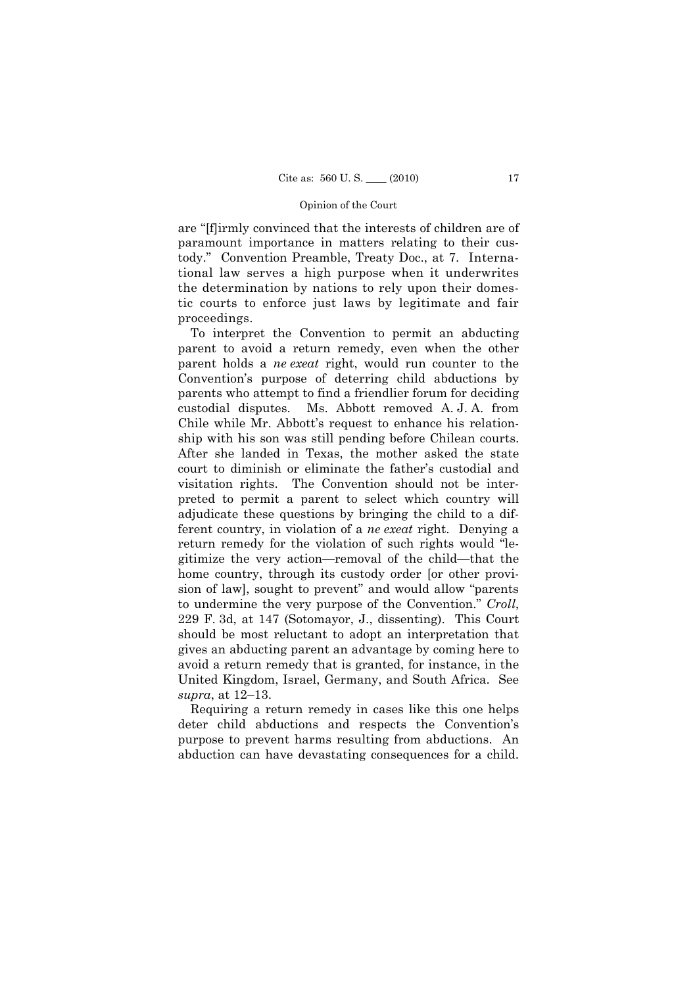are "[f]irmly convinced that the interests of children are of paramount importance in matters relating to their custody." Convention Preamble, Treaty Doc., at 7. International law serves a high purpose when it underwrites the determination by nations to rely upon their domestic courts to enforce just laws by legitimate and fair proceedings.

To interpret the Convention to permit an abducting parent to avoid a return remedy, even when the other parent holds a *ne exeat*  right, would run counter to the Convention's purpose of deterring child abductions by parents who attempt to find a friendlier forum for deciding custodial disputes. Ms. Abbott removed A. J. A. from Chile while Mr. Abbott's request to enhance his relationship with his son was still pending before Chilean courts. After she landed in Texas, the mother asked the state court to diminish or eliminate the father's custodial and visitation rights. The Convention should not be interpreted to permit a parent to select which country will adjudicate these questions by bringing the child to a different country, in violation of a *ne exeat* right. Denying a return remedy for the violation of such rights would "legitimize the very action—removal of the child—that the home country, through its custody order for other provision of law], sought to prevent" and would allow "parents" to undermine the very purpose of the Convention." *Croll*, 229 F. 3d, at 147 (Sotomayor, J., dissenting). This Court should be most reluctant to adopt an interpretation that gives an abducting parent an advantage by coming here to avoid a return remedy that is granted, for instance, in the United Kingdom, Israel, Germany, and South Africa. See *supra*, at 12–13.

Requiring a return remedy in cases like this one helps deter child abductions and respects the Convention's purpose to prevent harms resulting from abductions. An abduction can have devastating consequences for a child.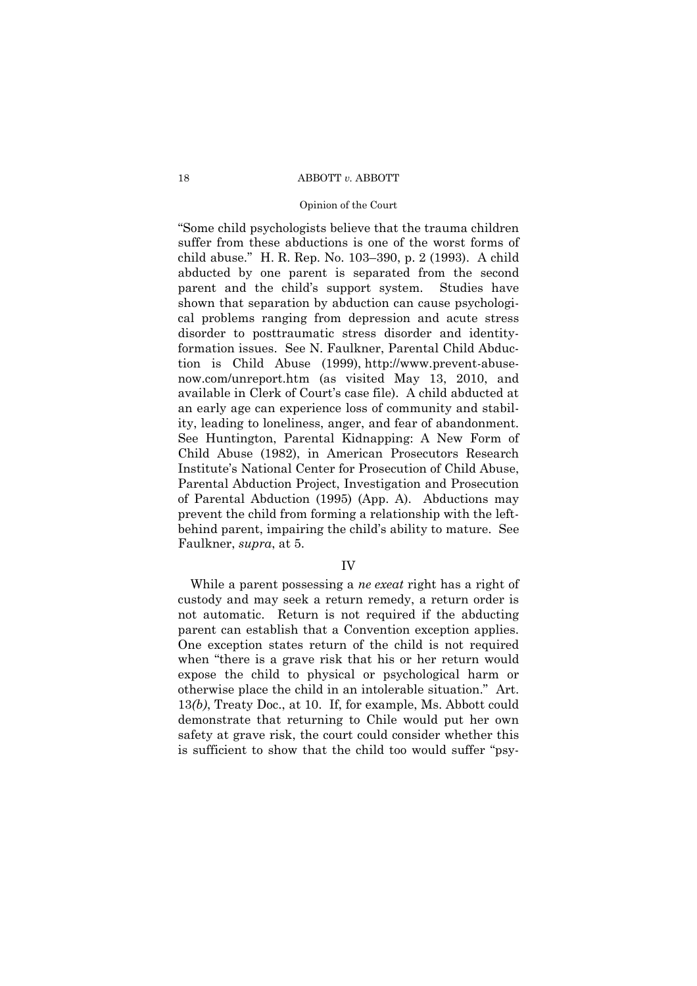## 18 ABBOTT *v.* ABBOTT

#### Opinion of the Court

"Some child psychologists believe that the trauma children suffer from these abductions is one of the worst forms of child abuse." H. R. Rep. No. 103–390, p. 2 (1993). A child abducted by one parent is separated from the second parent and the child's support system. Studies have shown that separation by abduction can cause psychological problems ranging from depression and acute stress disorder to posttraumatic stress disorder and identityformation issues. See N. Faulkner, Parental Child Abduction is Child Abuse (1999), http://www.prevent-abusenow.com/unreport.htm (as visited May 13, 2010, and available in Clerk of Court's case file). A child abducted at an early age can experience loss of community and stability, leading to loneliness, anger, and fear of abandonment. See Huntington, Parental Kidnapping: A New Form of Child Abuse (1982), in American Prosecutors Research Institute's National Center for Prosecution of Child Abuse, Parental Abduction Project, Investigation and Prosecution of Parental Abduction (1995) (App. A). Abductions may prevent the child from forming a relationship with the leftbehind parent, impairing the child's ability to mature. See Faulkner, *supra*, at 5.

### IV

While a parent possessing a *ne exeat* right has a right of custody and may seek a return remedy, a return order is not automatic. Return is not required if the abducting parent can establish that a Convention exception applies. One exception states return of the child is not required when "there is a grave risk that his or her return would expose the child to physical or psychological harm or otherwise place the child in an intolerable situation." Art. 13*(b)*, Treaty Doc., at 10. If, for example, Ms. Abbott could demonstrate that returning to Chile would put her own safety at grave risk, the court could consider whether this is sufficient to show that the child too would suffer "psy-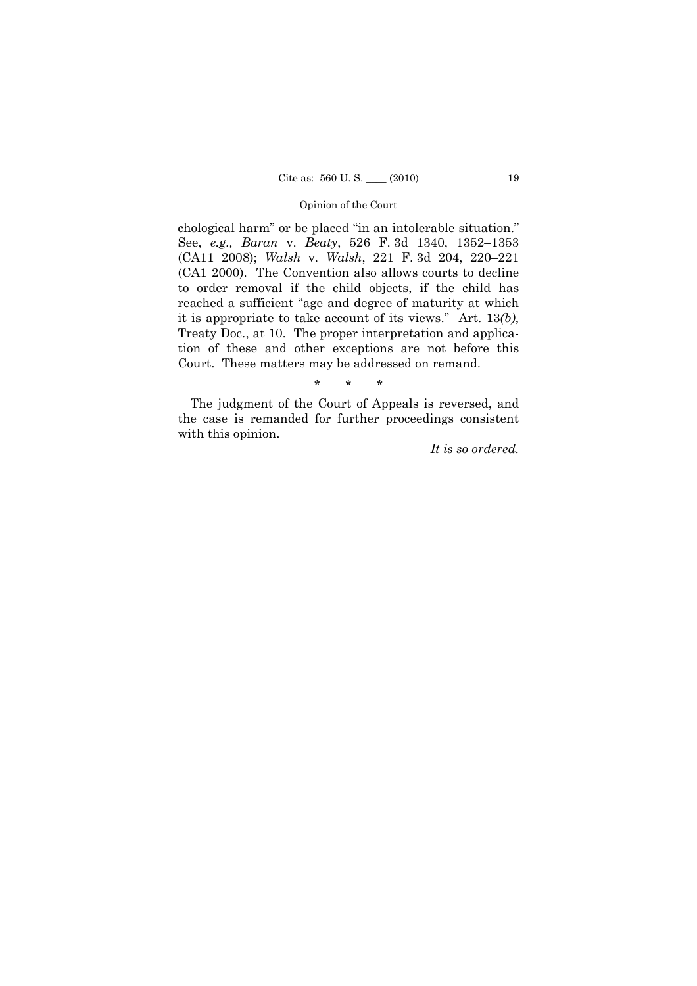chological harm" or be placed "in an intolerable situation." See, *e.g., Baran*  v. *Beaty*, 526 F. 3d 1340, 1352–1353 (CA11 2008); *Walsh*  v. *Walsh*, 221 F. 3d 204, 220–221 (CA1 2000). The Convention also allows courts to decline to order removal if the child objects, if the child has reached a sufficient "age and degree of maturity at which it is appropriate to take account of its views." Art. 13*(b)*, Treaty Doc., at 10. The proper interpretation and application of these and other exceptions are not before this Court. These matters may be addressed on remand.

\* \* \*

The judgment of the Court of Appeals is reversed, and the case is remanded for further proceedings consistent with this opinion.

*It is so ordered.*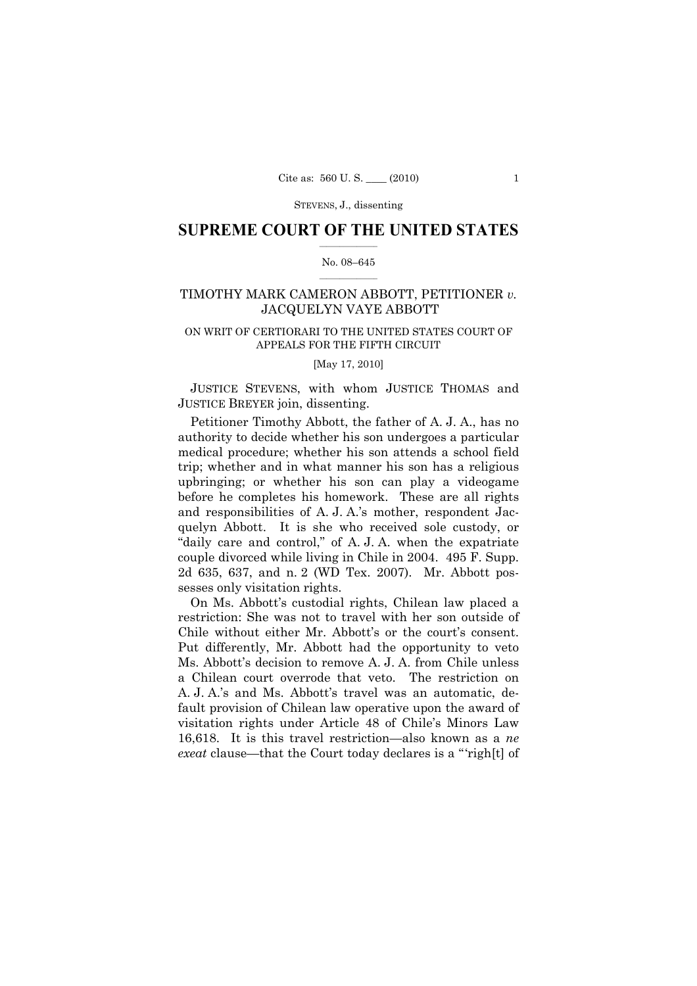#### $\overline{\phantom{a}}$  , where  $\overline{\phantom{a}}$ **SUPREME COURT OF THE UNITED STATES**

#### $\sim$   $\sim$   $\sim$   $\sim$   $\sim$   $\sim$ No. 08–645

# TIMOTHY MARK CAMERON ABBOTT, PETITIONER *v.*  JACQUELYN VAYE ABBOTT

## ON WRIT OF CERTIORARI TO THE UNITED STATES COURT OF APPEALS FOR THE FIFTH CIRCUIT

#### [May 17, 2010]

JUSTICE STEVENS, with whom JUSTICE THOMAS and JUSTICE BREYER join, dissenting.

Petitioner Timothy Abbott, the father of A. J. A., has no authority to decide whether his son undergoes a particular medical procedure; whether his son attends a school field trip; whether and in what manner his son has a religious upbringing; or whether his son can play a videogame before he completes his homework. These are all rights and responsibilities of A. J. A.'s mother, respondent Jacquelyn Abbott. It is she who received sole custody, or "daily care and control," of A. J. A. when the expatriate couple divorced while living in Chile in 2004. 495 F. Supp. 2d 635, 637, and n. 2 (WD Tex. 2007). Mr. Abbott possesses only visitation rights.

On Ms. Abbott's custodial rights, Chilean law placed a restriction: She was not to travel with her son outside of Chile without either Mr. Abbott's or the court's consent. Put differently, Mr. Abbott had the opportunity to veto Ms. Abbott's decision to remove A. J. A. from Chile unless a Chilean court overrode that veto. The restriction on A. J. A.'s and Ms. Abbott's travel was an automatic, default provision of Chilean law operative upon the award of visitation rights under Article 48 of Chile's Minors Law 16,618. It is this travel restriction—also known as a *ne exeat* clause—that the Court today declares is a "'righ[t] of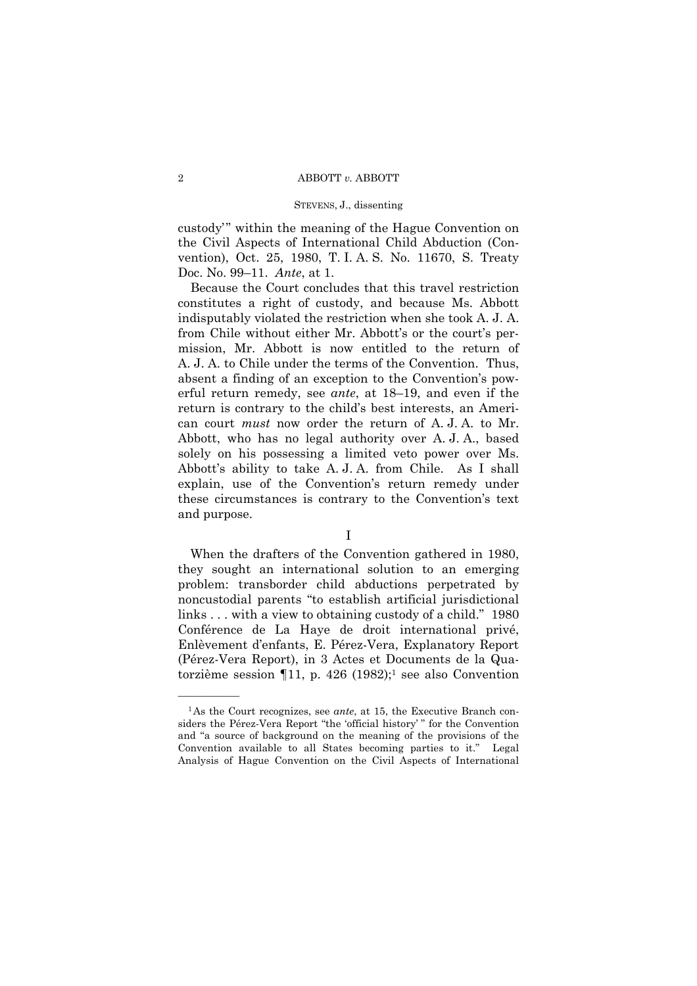custody'" within the meaning of the Hague Convention on the Civil Aspects of International Child Abduction (Convention), Oct. 25, 1980, T. I. A. S. No. 11670, S. Treaty Doc. No. 99–11. *Ante*, at 1.

Because the Court concludes that this travel restriction constitutes a right of custody, and because Ms. Abbott indisputably violated the restriction when she took A. J. A. from Chile without either Mr. Abbott's or the court's permission, Mr. Abbott is now entitled to the return of A. J. A. to Chile under the terms of the Convention. Thus, absent a finding of an exception to the Convention's powerful return remedy, see *ante*, at 18–19, and even if the return is contrary to the child's best interests, an American court *must* now order the return of A. J. A. to Mr. Abbott, who has no legal authority over A. J. A., based solely on his possessing a limited veto power over Ms. Abbott's ability to take A. J. A. from Chile. As I shall explain, use of the Convention's return remedy under these circumstances is contrary to the Convention's text and purpose.

I

When the drafters of the Convention gathered in 1980, they sought an international solution to an emerging problem: transborder child abductions perpetrated by noncustodial parents "to establish artificial jurisdictional links . . . with a view to obtaining custody of a child." 1980 Conférence de La Haye de droit international privé, Enlèvement d'enfants, E. Pérez-Vera, Explanatory Report (Pérez-Vera Report), in 3 Actes et Documents de la Quatorzième session  $\P$ 11, p. 426 (1982);<sup>1</sup> see also Convention

<sup>1</sup>As the Court recognizes, see *ante*, at 15, the Executive Branch considers the Pérez-Vera Report "the 'official history'" for the Convention and "a source of background on the meaning of the provisions of the Convention available to all States becoming parties to it." Legal Analysis of Hague Convention on the Civil Aspects of International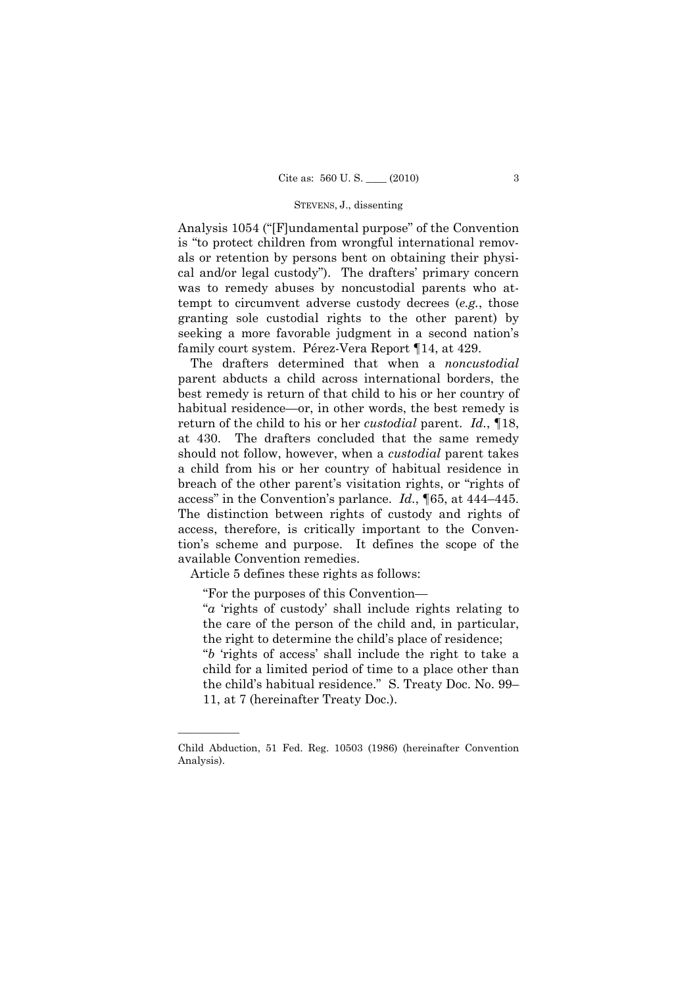Analysis 1054 ("[F]undamental purpose" of the Convention is "to protect children from wrongful international removals or retention by persons bent on obtaining their physical and/or legal custody"). The drafters' primary concern was to remedy abuses by noncustodial parents who attempt to circumvent adverse custody decrees (*e.g.*, those granting sole custodial rights to the other parent) by seeking a more favorable judgment in a second nation's family court system. Pérez-Vera Report  $\P$ 14, at 429.

The drafters determined that when a *noncustodial*  parent abducts a child across international borders, the best remedy is return of that child to his or her country of habitual residence—or, in other words, the best remedy is return of the child to his or her *custodial* parent. *Id.*, ¶18, at 430. The drafters concluded that the same remedy should not follow, however, when a *custodial* parent takes a child from his or her country of habitual residence in breach of the other parent's visitation rights, or "rights of access" in the Convention's parlance. *Id.*, ¶65, at 444–445. The distinction between rights of custody and rights of access, therefore, is critically important to the Convention's scheme and purpose. It defines the scope of the available Convention remedies.

Article 5 defines these rights as follows:

"For the purposes of this Convention—

——————

"*a* 'rights of custody' shall include rights relating to the care of the person of the child and, in particular, the right to determine the child's place of residence;

"*b* 'rights of access' shall include the right to take a child for a limited period of time to a place other than the child's habitual residence." S. Treaty Doc. No. 99– 11, at 7 (hereinafter Treaty Doc.).

Child Abduction, 51 Fed. Reg. 10503 (1986) (hereinafter Convention Analysis).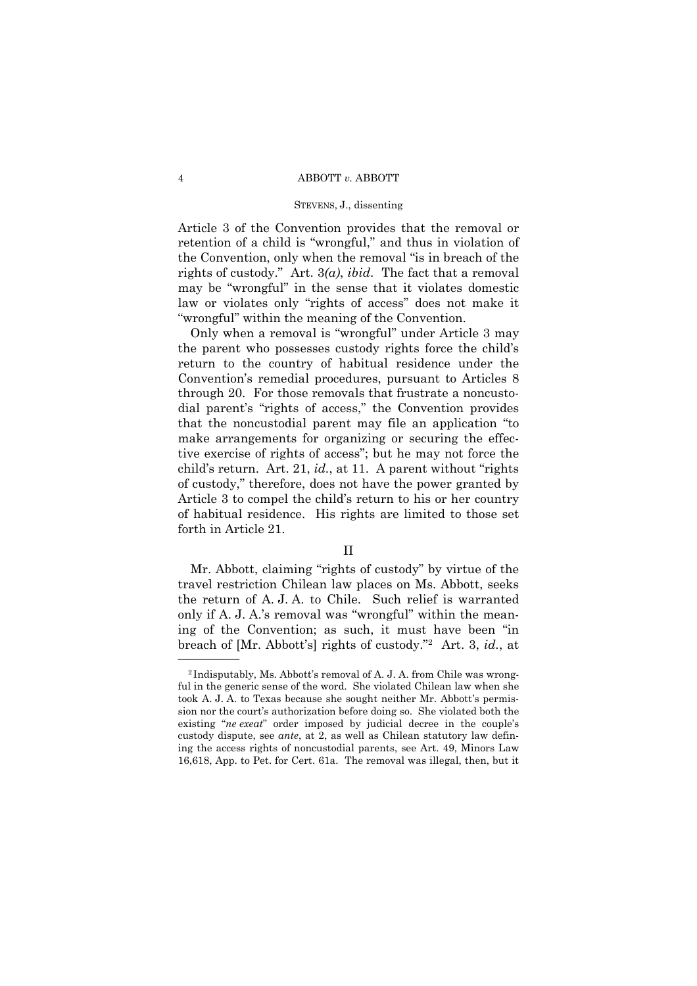Article 3 of the Convention provides that the removal or retention of a child is "wrongful," and thus in violation of the Convention, only when the removal "is in breach of the rights of custody." Art. 3*(a)*, *ibid*. The fact that a removal may be "wrongful" in the sense that it violates domestic law or violates only "rights of access" does not make it "wrongful" within the meaning of the Convention.

Only when a removal is "wrongful" under Article 3 may the parent who possesses custody rights force the child's return to the country of habitual residence under the Convention's remedial procedures, pursuant to Articles 8 through 20. For those removals that frustrate a noncustodial parent's "rights of access," the Convention provides that the noncustodial parent may file an application "to make arrangements for organizing or securing the effective exercise of rights of access"; but he may not force the child's return. Art. 21, *id.*, at 11. A parent without "rights of custody," therefore, does not have the power granted by Article 3 to compel the child's return to his or her country of habitual residence. His rights are limited to those set forth in Article 21.

## II

Mr. Abbott, claiming "rights of custody" by virtue of the travel restriction Chilean law places on Ms. Abbott, seeks the return of A. J. A. to Chile. Such relief is warranted only if A. J. A.'s removal was "wrongful" within the meaning of the Convention; as such, it must have been "in breach of [Mr. Abbott's] rights of custody."2 Art. 3, *id.*, at

 $\overline{\phantom{a}}$ 

<sup>2</sup> Indisputably, Ms. Abbott's removal of A. J. A. from Chile was wrongful in the generic sense of the word. She violated Chilean law when she took A. J. A. to Texas because she sought neither Mr. Abbott's permission nor the court's authorization before doing so. She violated both the existing "*ne exeat*" order imposed by judicial decree in the couple's custody dispute, see *ante*, at 2, as well as Chilean statutory law defining the access rights of noncustodial parents, see Art. 49, Minors Law 16,618, App. to Pet. for Cert. 61a. The removal was illegal, then, but it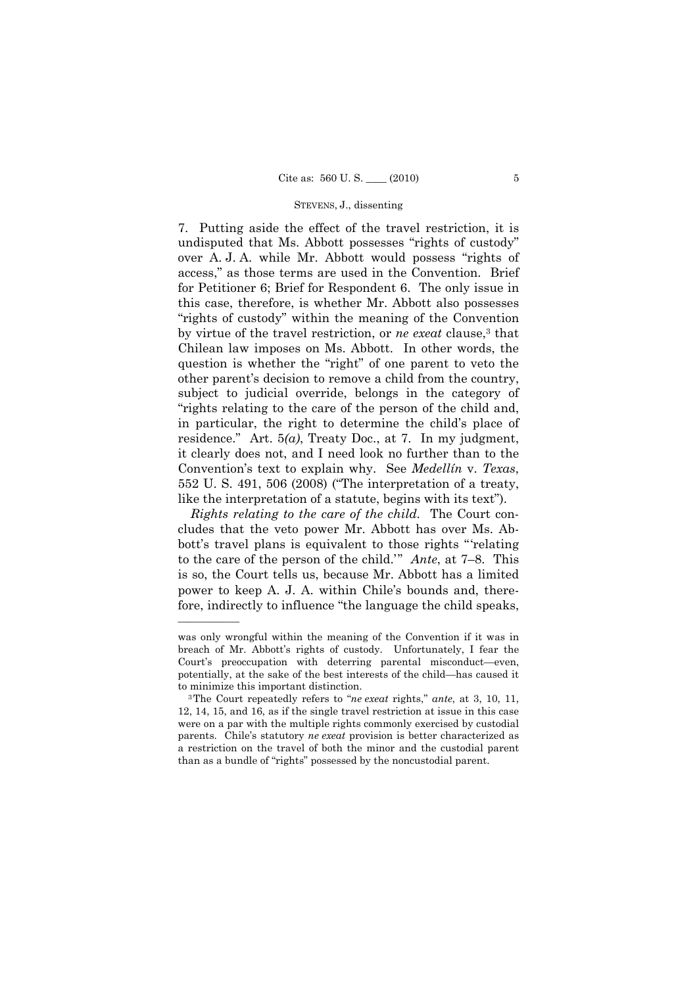7. Putting aside the effect of the travel restriction, it is undisputed that Ms. Abbott possesses "rights of custody" over A. J. A. while Mr. Abbott would possess "rights of access," as those terms are used in the Convention. Brief for Petitioner 6; Brief for Respondent 6. The only issue in this case, therefore, is whether Mr. Abbott also possesses "rights of custody" within the meaning of the Convention by virtue of the travel restriction, or *ne exeat* clause,3 that Chilean law imposes on Ms. Abbott. In other words, the question is whether the "right" of one parent to veto the other parent's decision to remove a child from the country, subject to judicial override, belongs in the category of "rights relating to the care of the person of the child and, in particular, the right to determine the child's place of residence." Art. 5*(a)*, Treaty Doc., at 7. In my judgment, it clearly does not, and I need look no further than to the Convention's text to explain why. See *Medellín* v. *Texas*, 552 U. S. 491, 506 (2008) ("The interpretation of a treaty, like the interpretation of a statute, begins with its text").

*Rights relating to the care of the child.* The Court concludes that the veto power Mr. Abbott has over Ms. Abbott's travel plans is equivalent to those rights "'relating to the care of the person of the child.'" *Ante*, at 7–8. This is so, the Court tells us, because Mr. Abbott has a limited power to keep A. J. A. within Chile's bounds and, therefore, indirectly to influence "the language the child speaks,

 $\overline{\phantom{a}}$ 

was only wrongful within the meaning of the Convention if it was in breach of Mr. Abbott's rights of custody. Unfortunately, I fear the Court's preoccupation with deterring parental misconduct—even, potentially, at the sake of the best interests of the child—has caused it to minimize this important distinction.

<sup>3</sup>The Court repeatedly refers to "*ne exeat*  rights," *ante*, at 3, 10, 11, 12, 14, 15, and 16, as if the single travel restriction at issue in this case were on a par with the multiple rights commonly exercised by custodial parents. Chile's statutory *ne exeat* provision is better characterized as a restriction on the travel of both the minor and the custodial parent than as a bundle of "rights" possessed by the noncustodial parent.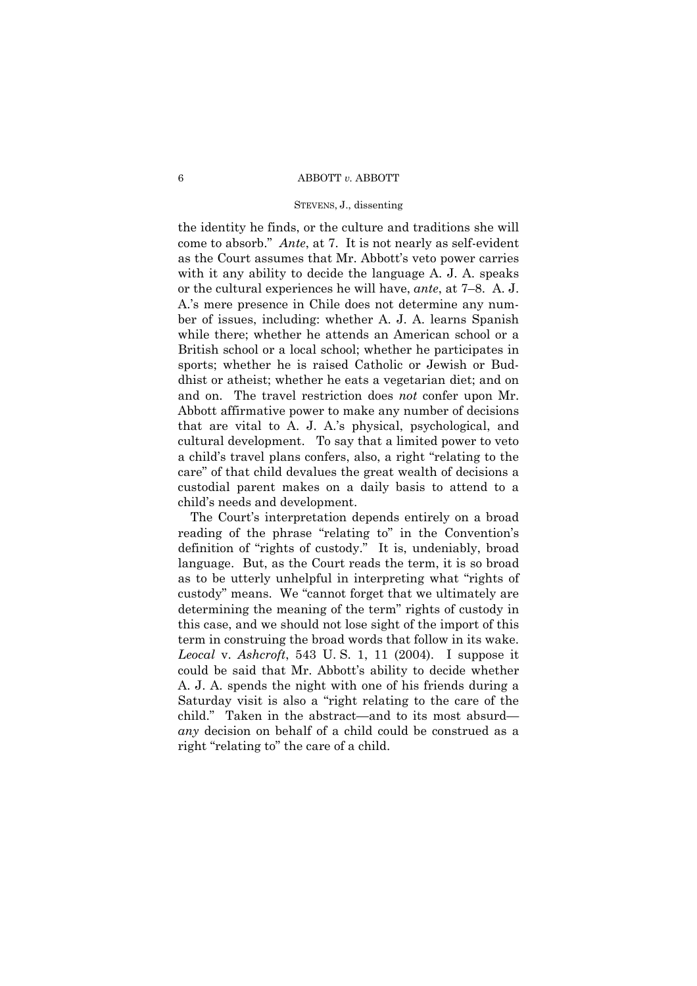the identity he finds, or the culture and traditions she will come to absorb." Ante, at 7. It is not nearly as self-evident as the Court assumes that Mr. Abbott's veto power carries with it any ability to decide the language A. J. A. speaks or the cultural experiences he will have, *ante*, at 7–8. A. J. A.'s mere presence in Chile does not determine any number of issues, including: whether A. J. A. learns Spanish while there; whether he attends an American school or a British school or a local school; whether he participates in sports; whether he is raised Catholic or Jewish or Buddhist or atheist; whether he eats a vegetarian diet; and on and on. The travel restriction does *not* confer upon Mr. Abbott affirmative power to make any number of decisions that are vital to A. J. A.'s physical, psychological, and cultural development. To say that a limited power to veto a child's travel plans confers, also, a right "relating to the care" of that child devalues the great wealth of decisions a custodial parent makes on a daily basis to attend to a child's needs and development.

The Court's interpretation depends entirely on a broad reading of the phrase "relating to" in the Convention's definition of "rights of custody." It is, undeniably, broad language. But, as the Court reads the term, it is so broad as to be utterly unhelpful in interpreting what "rights of custody" means. We "cannot forget that we ultimately are determining the meaning of the term" rights of custody in this case, and we should not lose sight of the import of this term in construing the broad words that follow in its wake. *Leocal* v. *Ashcroft*, 543 U. S. 1, 11 (2004). I suppose it could be said that Mr. Abbott's ability to decide whether A. J. A. spends the night with one of his friends during a Saturday visit is also a "right relating to the care of the child." Taken in the abstract—and to its most absurd *any* decision on behalf of a child could be construed as a right "relating to" the care of a child.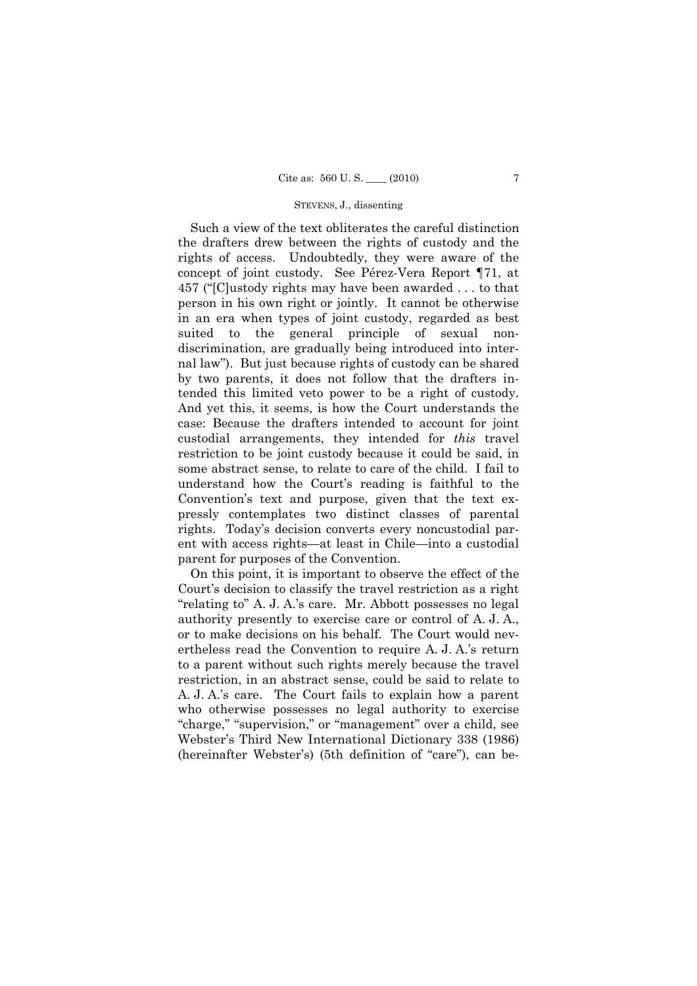Such a view of the text obliterates the careful distinction the drafters drew between the rights of custody and the rights of access. Undoubtedly, they were aware of the concept of joint custody. See Pérez-Vera Report 171, at 457 ("[C]ustody rights may have been awarded . . . to that person in his own right or jointly. It cannot be otherwise in an era when types of joint custody, regarded as best suited to the general principle of sexual nondiscrimination, are gradually being introduced into internal law"). But just because rights of custody can be shared by two parents, it does not follow that the drafters intended this limited veto power to be a right of custody. And yet this, it seems, is how the Court understands the case: Because the drafters intended to account for joint custodial arrangements, they intended for *this* travel restriction to be joint custody because it could be said, in some abstract sense, to relate to care of the child. I fail to understand how the Court's reading is faithful to the Convention's text and purpose, given that the text expressly contemplates two distinct classes of parental rights. Today's decision converts every noncustodial parent with access rights—at least in Chile—into a custodial parent for purposes of the Convention.

On this point, it is important to observe the effect of the Court's decision to classify the travel restriction as a right "relating to" A. J. A.'s care. Mr. Abbott possesses no legal authority presently to exercise care or control of A. J. A., or to make decisions on his behalf. The Court would nevertheless read the Convention to require A. J. A.'s return to a parent without such rights merely because the travel restriction, in an abstract sense, could be said to relate to A. J. A.'s care. The Court fails to explain how a parent who otherwise possesses no legal authority to exercise "charge," "supervision," or "management" over a child, see Webster's Third New International Dictionary 338 (1986) (hereinafter Webster's) (5th definition of "care"), can be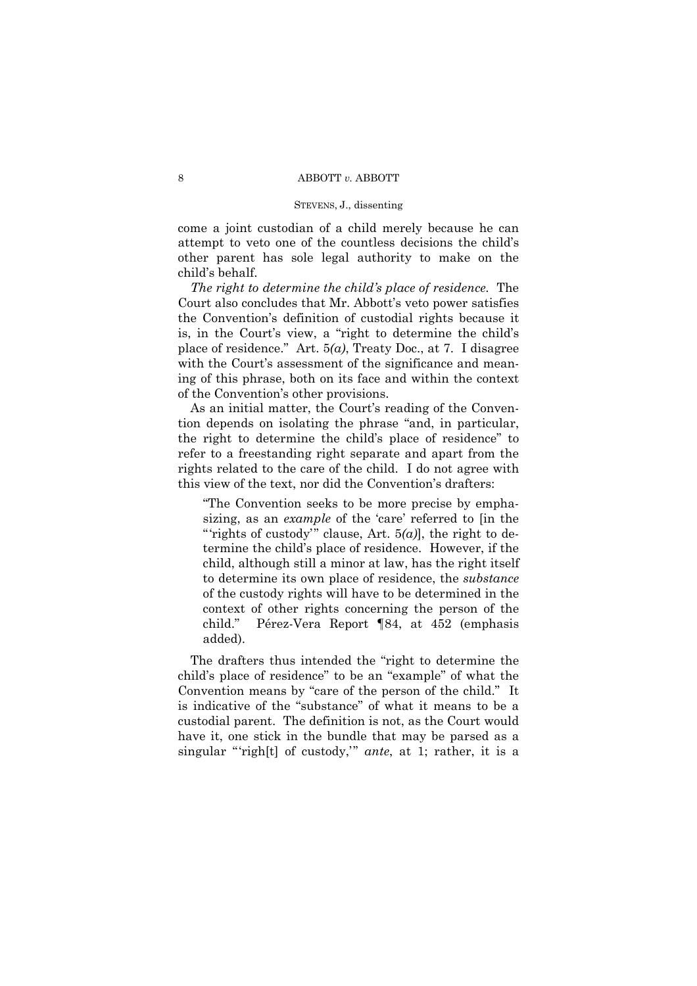come a joint custodian of a child merely because he can attempt to veto one of the countless decisions the child's other parent has sole legal authority to make on the child's behalf.

*The right to determine the child's place of residence.* The Court also concludes that Mr. Abbott's veto power satisfies the Convention's definition of custodial rights because it is, in the Court's view, a "right to determine the child's place of residence." Art. 5*(a)*, Treaty Doc., at 7. I disagree with the Court's assessment of the significance and meaning of this phrase, both on its face and within the context of the Convention's other provisions.

As an initial matter, the Court's reading of the Convention depends on isolating the phrase "and, in particular, the right to determine the child's place of residence" to refer to a freestanding right separate and apart from the rights related to the care of the child. I do not agree with this view of the text, nor did the Convention's drafters:

"The Convention seeks to be more precise by emphasizing, as an *example* of the 'care' referred to [in the "'rights of custody" clause, Art.  $5(a)$ ], the right to determine the child's place of residence. However, if the child, although still a minor at law, has the right itself to determine its own place of residence, the *substance*  of the custody rights will have to be determined in the context of other rights concerning the person of the child." Pérez-Vera Report  $\llbracket 84, at 452 \rrbracket$  (emphasis added).

The drafters thus intended the "right to determine the child's place of residence" to be an "example" of what the Convention means by "care of the person of the child." It is indicative of the "substance" of what it means to be a custodial parent. The definition is not, as the Court would have it, one stick in the bundle that may be parsed as a singular "'righ[t] of custody," *ante*, at 1; rather, it is a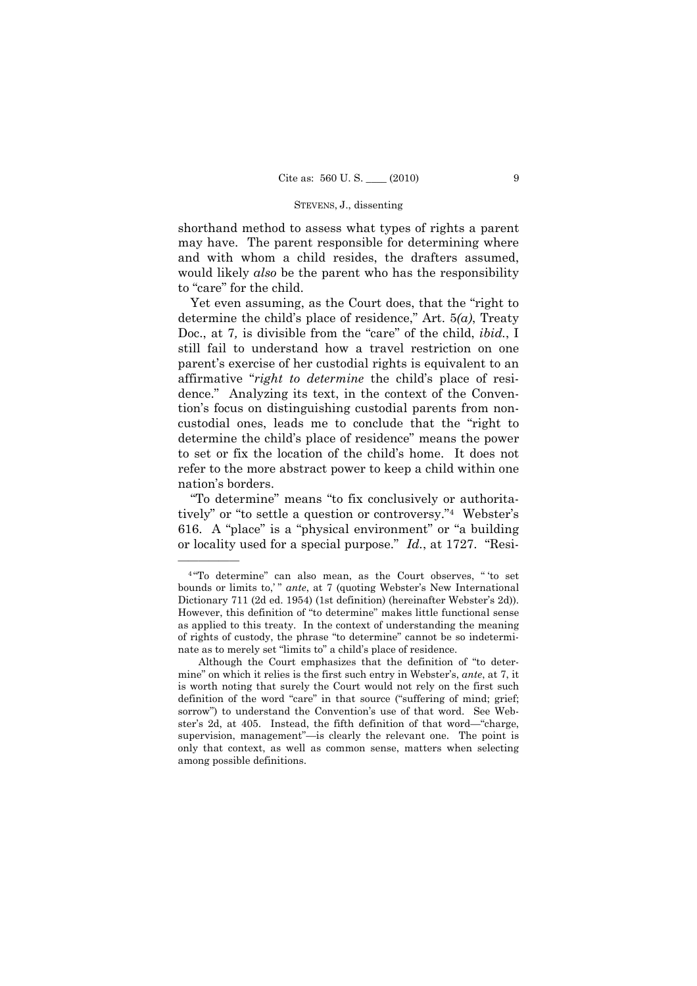shorthand method to assess what types of rights a parent may have. The parent responsible for determining where and with whom a child resides, the drafters assumed, would likely *also* be the parent who has the responsibility to "care" for the child.

Yet even assuming, as the Court does, that the "right to determine the child's place of residence," Art. 5*(a)*, Treaty Doc., at 7*,* is divisible from the "care" of the child, *ibid.*, I still fail to understand how a travel restriction on one parent's exercise of her custodial rights is equivalent to an affirmative "*right to determine* the child's place of residence." Analyzing its text, in the context of the Convention's focus on distinguishing custodial parents from noncustodial ones, leads me to conclude that the "right to determine the child's place of residence" means the power to set or fix the location of the child's home. It does not refer to the more abstract power to keep a child within one nation's borders.

"To determine" means "to fix conclusively or authoritatively" or "to settle a question or controversy."4 Webster's 616. A "place" is a "physical environment" or "a building or locality used for a special purpose." *Id.*, at 1727. "Resi

<sup>&</sup>lt;sup>4</sup> "To determine" can also mean, as the Court observes, " to set bounds or limits to,' " *ante*, at 7 (quoting Webster's New International Dictionary 711 (2d ed. 1954) (1st definition) (hereinafter Webster's 2d)). However, this definition of "to determine" makes little functional sense as applied to this treaty. In the context of understanding the meaning of rights of custody, the phrase "to determine" cannot be so indeterminate as to merely set "limits to" a child's place of residence.

Although the Court emphasizes that the definition of "to determine" on which it relies is the first such entry in Webster's, *ante*, at 7, it is worth noting that surely the Court would not rely on the first such definition of the word "care" in that source ("suffering of mind; grief; sorrow") to understand the Convention's use of that word. See Webster's 2d, at 405. Instead, the fifth definition of that word—"charge, supervision, management"-is clearly the relevant one. The point is only that context, as well as common sense, matters when selecting among possible definitions.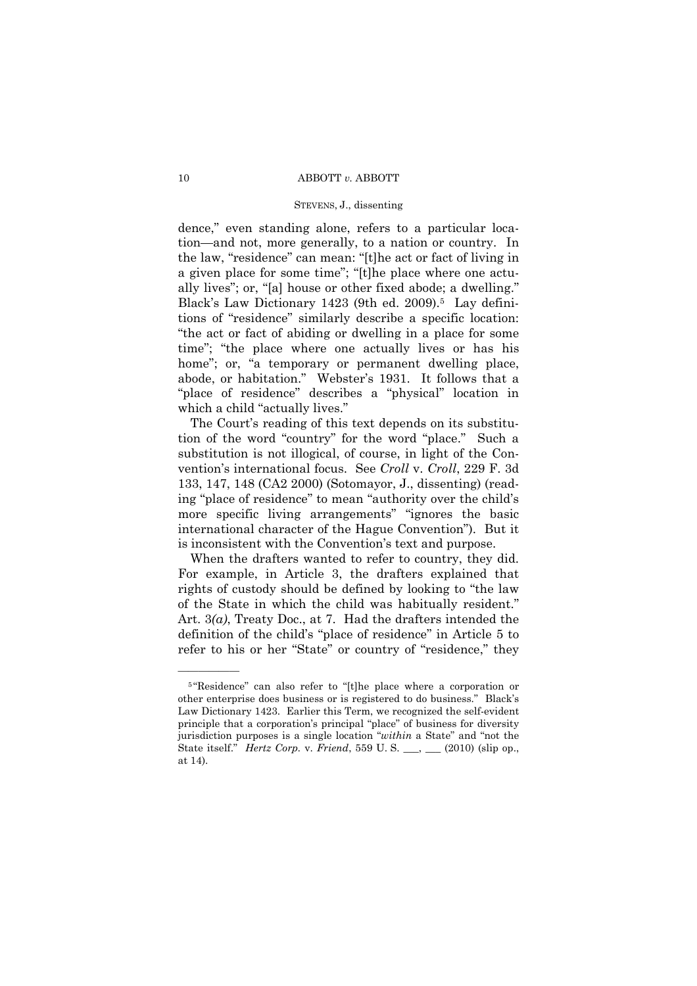dence," even standing alone, refers to a particular location—and not, more generally, to a nation or country. In the law, "residence" can mean: "[t]he act or fact of living in a given place for some time"; "[t]he place where one actually lives"; or, "[a] house or other fixed abode; a dwelling." Black's Law Dictionary 1423 (9th ed. 2009).<sup>5</sup> Lay definitions of "residence" similarly describe a specific location: "the act or fact of abiding or dwelling in a place for some time"; "the place where one actually lives or has his home"; or, "a temporary or permanent dwelling place, abode, or habitation." Webster's 1931. It follows that a "place of residence" describes a "physical" location in which a child "actually lives."

The Court's reading of this text depends on its substitution of the word "country" for the word "place." Such a substitution is not illogical, of course, in light of the Convention's international focus. See *Croll* v. *Croll*, 229 F. 3d 133, 147, 148 (CA2 2000) (Sotomayor, J., dissenting) (reading "place of residence" to mean "authority over the child's more specific living arrangements" "ignores the basic international character of the Hague Convention"). But it is inconsistent with the Convention's text and purpose.

When the drafters wanted to refer to country, they did. For example, in Article 3, the drafters explained that rights of custody should be defined by looking to "the law of the State in which the child was habitually resident." Art. 3*(a)*, Treaty Doc., at 7. Had the drafters intended the definition of the child's "place of residence" in Article 5 to refer to his or her "State" or country of "residence," they

 $\overline{\phantom{a}}$ 

<sup>5</sup> "Residence" can also refer to "[t]he place where a corporation or other enterprise does business or is registered to do business." Black's Law Dictionary 1423. Earlier this Term, we recognized the self-evident principle that a corporation's principal "place" of business for diversity jurisdiction purposes is a single location "*within* a State" and "not the State itself." *Hertz Corp.* v. *Friend*, 559 U. S. \_\_\_, \_\_\_ (2010) (slip op., at 14).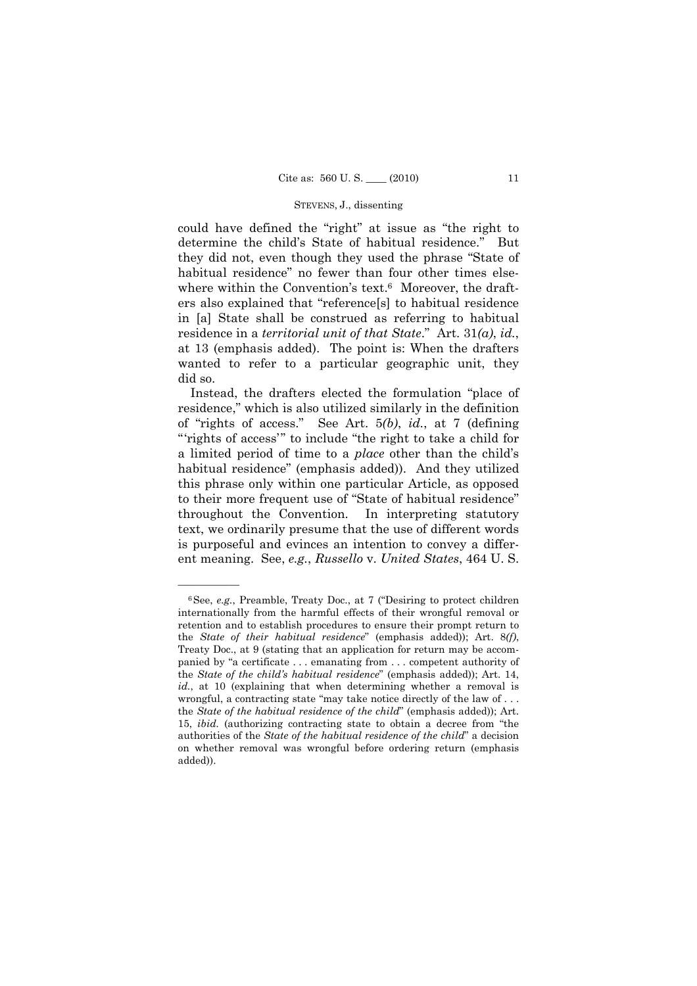could have defined the "right" at issue as "the right to determine the child's State of habitual residence." But they did not, even though they used the phrase "State of habitual residence" no fewer than four other times elsewhere within the Convention's text.<sup>6</sup> Moreover, the drafters also explained that "reference[s] to habitual residence in [a] State shall be construed as referring to habitual residence in a *territorial unit of that State*." Art. 31*(a)*, *id.*, at 13 (emphasis added). The point is: When the drafters wanted to refer to a particular geographic unit, they did so.

Instead, the drafters elected the formulation "place of residence," which is also utilized similarly in the definition of "rights of access." See Art. 5*(b)*, *id.*, at 7 (defining "'rights of access'" to include "the right to take a child for a limited period of time to a *place* other than the child's habitual residence" (emphasis added)). And they utilized this phrase only within one particular Article, as opposed to their more frequent use of "State of habitual residence" throughout the Convention. In interpreting statutory text, we ordinarily presume that the use of different words is purposeful and evinces an intention to convey a different meaning. See, *e.g.*, *Russello* v. *United States*, 464 U. S.

<sup>6</sup>See, *e.g.*, Preamble, Treaty Doc., at 7 ("Desiring to protect children internationally from the harmful effects of their wrongful removal or retention and to establish procedures to ensure their prompt return to the *State of their habitual residence*" (emphasis added)); Art. 8*(f)*, Treaty Doc., at 9 (stating that an application for return may be accompanied by "a certificate . . . emanating from . . . competent authority of the *State of the child's habitual residence*" (emphasis added)); Art. 14, *id.*, at 10 (explaining that when determining whether a removal is wrongful, a contracting state "may take notice directly of the law of . . . the *State of the habitual residence of the child*" (emphasis added)); Art. 15, *ibid.* (authorizing contracting state to obtain a decree from "the authorities of the *State of the habitual residence of the child*" a decision on whether removal was wrongful before ordering return (emphasis added)).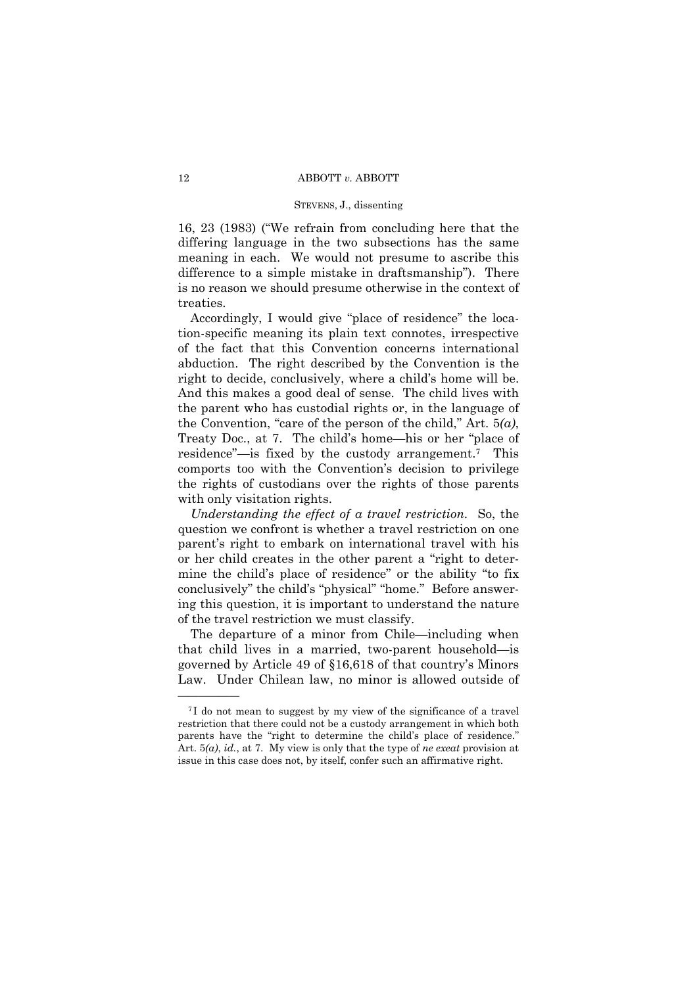## 12 ABBOTT *v.* ABBOTT

## STEVENS, J., dissenting

16, 23 (1983) ("We refrain from concluding here that the differing language in the two subsections has the same meaning in each. We would not presume to ascribe this difference to a simple mistake in draftsmanship"). There is no reason we should presume otherwise in the context of treaties.

Accordingly, I would give "place of residence" the location-specific meaning its plain text connotes, irrespective of the fact that this Convention concerns international abduction. The right described by the Convention is the right to decide, conclusively, where a child's home will be. And this makes a good deal of sense. The child lives with the parent who has custodial rights or, in the language of the Convention, "care of the person of the child," Art. 5*(a)*, Treaty Doc., at 7. The child's home—his or her "place of residence"—is fixed by the custody arrangement.7 This comports too with the Convention's decision to privilege the rights of custodians over the rights of those parents with only visitation rights.

*Understanding the effect of a travel restriction.* So, the question we confront is whether a travel restriction on one parent's right to embark on international travel with his or her child creates in the other parent a "right to determine the child's place of residence" or the ability "to fix conclusively" the child's "physical" "home." Before answering this question, it is important to understand the nature of the travel restriction we must classify.

The departure of a minor from Chile—including when that child lives in a married, two-parent household-is governed by Article 49 of §16,618 of that country's Minors Law. Under Chilean law, no minor is allowed outside of

<sup>7</sup> I do not mean to suggest by my view of the significance of a travel restriction that there could not be a custody arrangement in which both parents have the "right to determine the child's place of residence." Art. 5*(a)*, *id.*, at 7. My view is only that the type of *ne exeat* provision at issue in this case does not, by itself, confer such an affirmative right.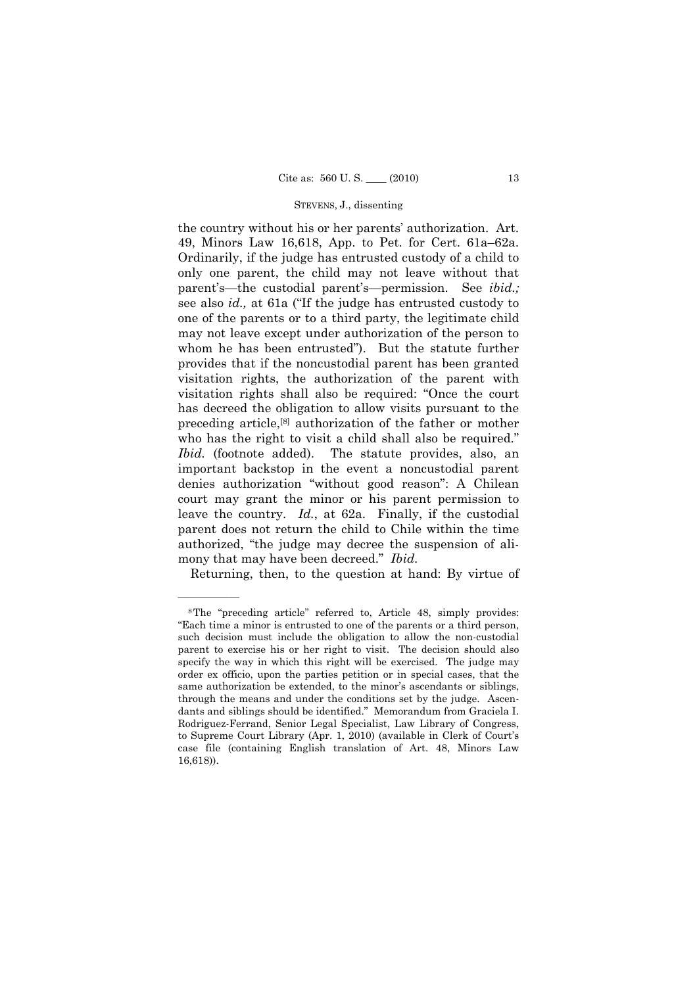the country without his or her parents' authorization. Art. 49, Minors Law 16,618, App. to Pet. for Cert. 61a–62a. Ordinarily, if the judge has entrusted custody of a child to only one parent, the child may not leave without that parent's—the custodial parent's—permission. See *ibid.*; see also *id.,* at 61a ("If the judge has entrusted custody to one of the parents or to a third party, the legitimate child may not leave except under authorization of the person to whom he has been entrusted"). But the statute further provides that if the noncustodial parent has been granted visitation rights, the authorization of the parent with visitation rights shall also be required: "Once the court has decreed the obligation to allow visits pursuant to the preceding article,[8] authorization of the father or mother who has the right to visit a child shall also be required." *Ibid.* (footnote added). The statute provides, also, an important backstop in the event a noncustodial parent denies authorization "without good reason": A Chilean court may grant the minor or his parent permission to leave the country. *Id.*, at 62a. Finally, if the custodial parent does not return the child to Chile within the time authorized, "the judge may decree the suspension of alimony that may have been decreed." *Ibid.* 

Returning, then, to the question at hand: By virtue of

<sup>&</sup>lt;sup>8</sup>The "preceding article" referred to, Article 48, simply provides: "Each time a minor is entrusted to one of the parents or a third person, such decision must include the obligation to allow the non-custodial parent to exercise his or her right to visit. The decision should also specify the way in which this right will be exercised. The judge may order ex officio, upon the parties petition or in special cases, that the same authorization be extended, to the minor's ascendants or siblings, through the means and under the conditions set by the judge. Ascendants and siblings should be identified." Memorandum from Graciela I. Rodriguez-Ferrand, Senior Legal Specialist, Law Library of Congress, to Supreme Court Library (Apr. 1, 2010) (available in Clerk of Court's case file (containing English translation of Art. 48, Minors Law 16,618)).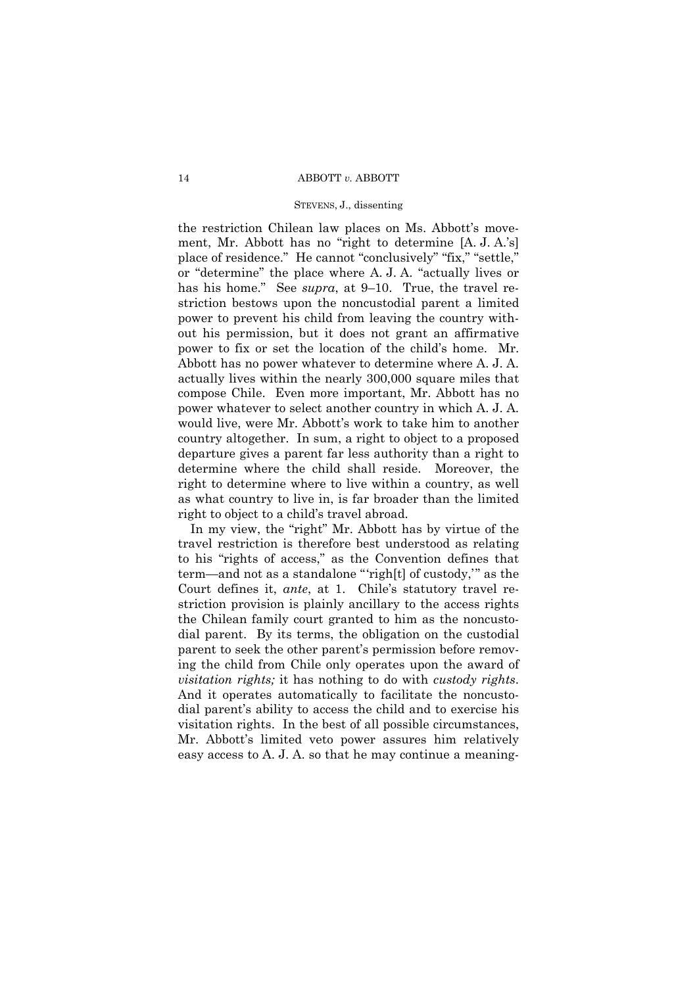the restriction Chilean law places on Ms. Abbott's movement, Mr. Abbott has no "right to determine [A. J. A.'s] place of residence." He cannot "conclusively" "fix," "settle," or "determine" the place where A. J. A. "actually lives or has his home." See *supra*, at 9–10. True, the travel restriction bestows upon the noncustodial parent a limited power to prevent his child from leaving the country without his permission, but it does not grant an affirmative power to fix or set the location of the child's home. Mr. Abbott has no power whatever to determine where A. J. A. actually lives within the nearly 300,000 square miles that compose Chile. Even more important, Mr. Abbott has no power whatever to select another country in which A. J. A. would live, were Mr. Abbott's work to take him to another country altogether. In sum, a right to object to a proposed departure gives a parent far less authority than a right to determine where the child shall reside. Moreover, the right to determine where to live within a country, as well as what country to live in, is far broader than the limited right to object to a child's travel abroad.

In my view, the "right" Mr. Abbott has by virtue of the travel restriction is therefore best understood as relating to his "rights of access," as the Convention defines that term—and not as a standalone "'righ[t] of custody,'" as the Court defines it, *ante*, at 1. Chile's statutory travel restriction provision is plainly ancillary to the access rights the Chilean family court granted to him as the noncustodial parent. By its terms, the obligation on the custodial parent to seek the other parent's permission before removing the child from Chile only operates upon the award of *visitation rights;* it has nothing to do with *custody rights*. And it operates automatically to facilitate the noncustodial parent's ability to access the child and to exercise his visitation rights. In the best of all possible circumstances, Mr. Abbott's limited veto power assures him relatively easy access to A. J. A. so that he may continue a meaning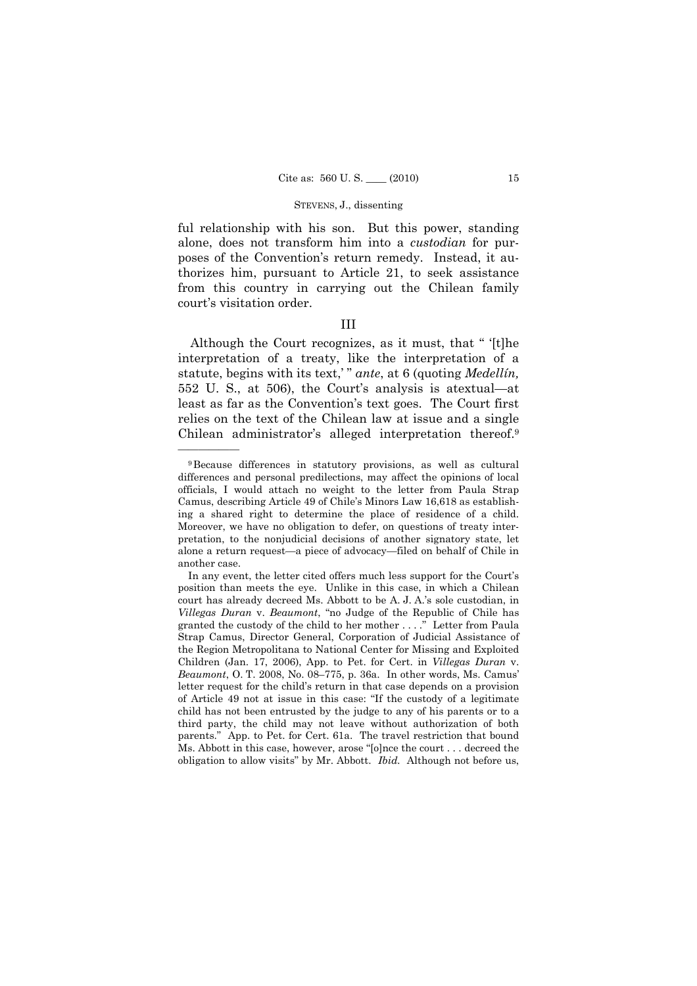ful relationship with his son. But this power, standing alone, does not transform him into a *custodian* for purposes of the Convention's return remedy. Instead, it authorizes him, pursuant to Article 21, to seek assistance from this country in carrying out the Chilean family court's visitation order.

## III

Although the Court recognizes, as it must, that " '[t]he interpretation of a treaty, like the interpretation of a statute, begins with its text,' " *ante*, at 6 (quoting *Medellín,*  552 U. S., at 506), the Court's analysis is atextual—at least as far as the Convention's text goes. The Court first relies on the text of the Chilean law at issue and a single Chilean administrator's alleged interpretation thereof.<sup>9</sup>

 $\overline{\phantom{a}}$ 

<sup>9</sup>Because differences in statutory provisions, as well as cultural differences and personal predilections, may affect the opinions of local officials, I would attach no weight to the letter from Paula Strap Camus, describing Article 49 of Chile's Minors Law 16,618 as establishing a shared right to determine the place of residence of a child. Moreover, we have no obligation to defer, on questions of treaty interpretation, to the nonjudicial decisions of another signatory state, let alone a return request—a piece of advocacy—filed on behalf of Chile in another case.

In any event, the letter cited offers much less support for the Court's position than meets the eye. Unlike in this case, in which a Chilean court has already decreed Ms. Abbott to be A. J. A.'s sole custodian, in *Villegas Duran*  v. *Beaumont*, "no Judge of the Republic of Chile has granted the custody of the child to her mother . . . ." Letter from Paula Strap Camus, Director General, Corporation of Judicial Assistance of the Region Metropolitana to National Center for Missing and Exploited Children (Jan. 17, 2006), App. to Pet. for Cert. in *Villegas Duran* v. *Beaumont*, O. T. 2008, No. 08–775, p. 36a. In other words, Ms. Camus' letter request for the child's return in that case depends on a provision of Article 49 not at issue in this case: "If the custody of a legitimate child has not been entrusted by the judge to any of his parents or to a third party, the child may not leave without authorization of both parents." App. to Pet. for Cert. 61a. The travel restriction that bound Ms. Abbott in this case, however, arose "[o]nce the court . . . decreed the obligation to allow visits" by Mr. Abbott. *Ibid.* Although not before us,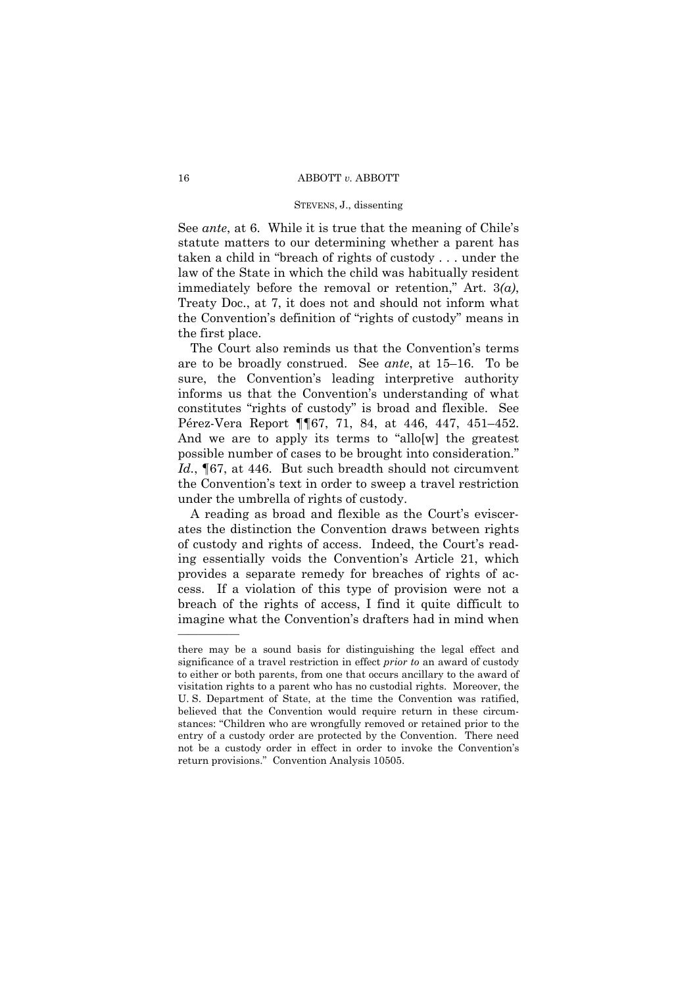See *ante*, at 6. While it is true that the meaning of Chile's statute matters to our determining whether a parent has taken a child in "breach of rights of custody . . . under the law of the State in which the child was habitually resident immediately before the removal or retention," Art. 3*(a)*, Treaty Doc., at 7, it does not and should not inform what the Convention's definition of "rights of custody" means in the first place.

The Court also reminds us that the Convention's terms are to be broadly construed. See *ante*, at 15–16. To be sure, the Convention's leading interpretive authority informs us that the Convention's understanding of what constitutes "rights of custody" is broad and flexible. See Pérez-Vera Report ¶¶67, 71, 84, at 446, 447, 451–452. And we are to apply its terms to "allo[w] the greatest possible number of cases to be brought into consideration." *Id.*, ¶67, at 446. But such breadth should not circumvent the Convention's text in order to sweep a travel restriction under the umbrella of rights of custody.

A reading as broad and flexible as the Court's eviscerates the distinction the Convention draws between rights of custody and rights of access. Indeed, the Court's reading essentially voids the Convention's Article 21, which provides a separate remedy for breaches of rights of access. If a violation of this type of provision were not a breach of the rights of access, I find it quite difficult to imagine what the Convention's drafters had in mind when

 $\overline{\phantom{a}}$ 

there may be a sound basis for distinguishing the legal effect and significance of a travel restriction in effect *prior to* an award of custody to either or both parents, from one that occurs ancillary to the award of visitation rights to a parent who has no custodial rights. Moreover, the U. S. Department of State, at the time the Convention was ratified, believed that the Convention would require return in these circumstances: "Children who are wrongfully removed or retained prior to the entry of a custody order are protected by the Convention. There need not be a custody order in effect in order to invoke the Convention's return provisions." Convention Analysis 10505.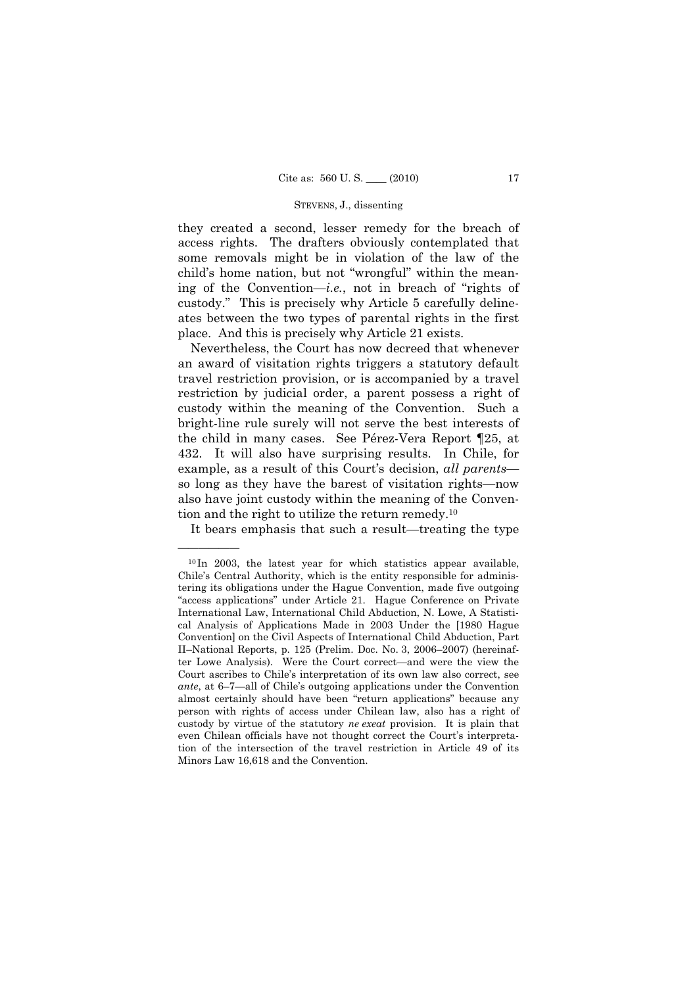they created a second, lesser remedy for the breach of access rights. The drafters obviously contemplated that some removals might be in violation of the law of the child's home nation, but not "wrongful" within the meaning of the Convention—*i.e.*, not in breach of "rights of custody." This is precisely why Article 5 carefully delineates between the two types of parental rights in the first place. And this is precisely why Article 21 exists.

Nevertheless, the Court has now decreed that whenever an award of visitation rights triggers a statutory default travel restriction provision, or is accompanied by a travel restriction by judicial order, a parent possess a right of custody within the meaning of the Convention. Such a bright-line rule surely will not serve the best interests of the child in many cases. See Pérez-Vera Report 125, at 432. It will also have surprising results. In Chile, for example, as a result of this Court's decision, *all parents* so long as they have the barest of visitation rights—now also have joint custody within the meaning of the Convention and the right to utilize the return remedy.10

It bears emphasis that such a result—treating the type

<sup>&</sup>lt;sup>10</sup> In 2003, the latest year for which statistics appear available, Chile's Central Authority, which is the entity responsible for administering its obligations under the Hague Convention, made five outgoing "access applications" under Article 21. Hague Conference on Private International Law, International Child Abduction, N. Lowe, A Statistical Analysis of Applications Made in 2003 Under the [1980 Hague Convention] on the Civil Aspects of International Child Abduction, Part II–National Reports, p. 125 (Prelim. Doc. No. 3, 2006–2007) (hereinafter Lowe Analysis). Were the Court correct—and were the view the Court ascribes to Chile's interpretation of its own law also correct, see *ante*, at 6–7—all of Chile's outgoing applications under the Convention almost certainly should have been "return applications" because any person with rights of access under Chilean law, also has a right of custody by virtue of the statutory *ne exeat* provision. It is plain that even Chilean officials have not thought correct the Court's interpretation of the intersection of the travel restriction in Article 49 of its Minors Law 16,618 and the Convention.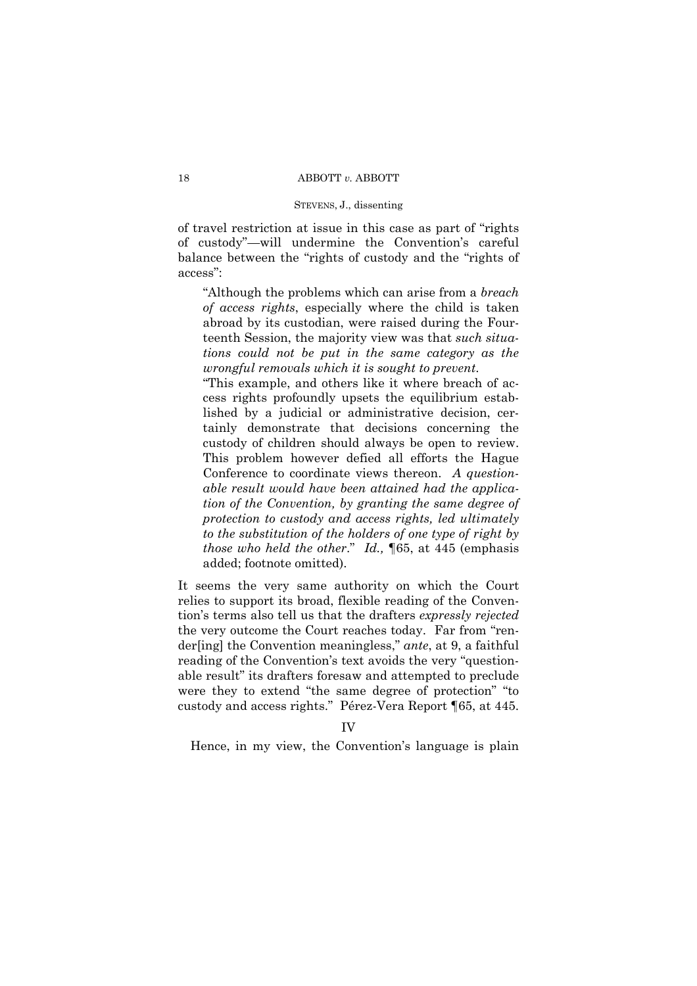of travel restriction at issue in this case as part of "rights of custody"—will undermine the Convention's careful balance between the "rights of custody and the "rights of access":

"Although the problems which can arise from a *breach of access rights*, especially where the child is taken abroad by its custodian, were raised during the Fourteenth Session, the majority view was that *such situations could not be put in the same category as the wrongful removals which it is sought to prevent*.

"This example, and others like it where breach of access rights profoundly upsets the equilibrium established by a judicial or administrative decision, certainly demonstrate that decisions concerning the custody of children should always be open to review. This problem however defied all efforts the Hague Conference to coordinate views thereon. *A questionable result would have been attained had the application of the Convention, by granting the same degree of protection to custody and access rights, led ultimately to the substitution of the holders of one type of right by those who held the other*." *Id.,* ¶65, at 445 (emphasis added; footnote omitted).

It seems the very same authority on which the Court relies to support its broad, flexible reading of the Convention's terms also tell us that the drafters *expressly rejected* the very outcome the Court reaches today. Far from "render[ing] the Convention meaningless," *ante*, at 9, a faithful reading of the Convention's text avoids the very "questionable result" its drafters foresaw and attempted to preclude were they to extend "the same degree of protection" "to custody and access rights." Pérez-Vera Report [65, at 445.

## IV

Hence, in my view, the Convention's language is plain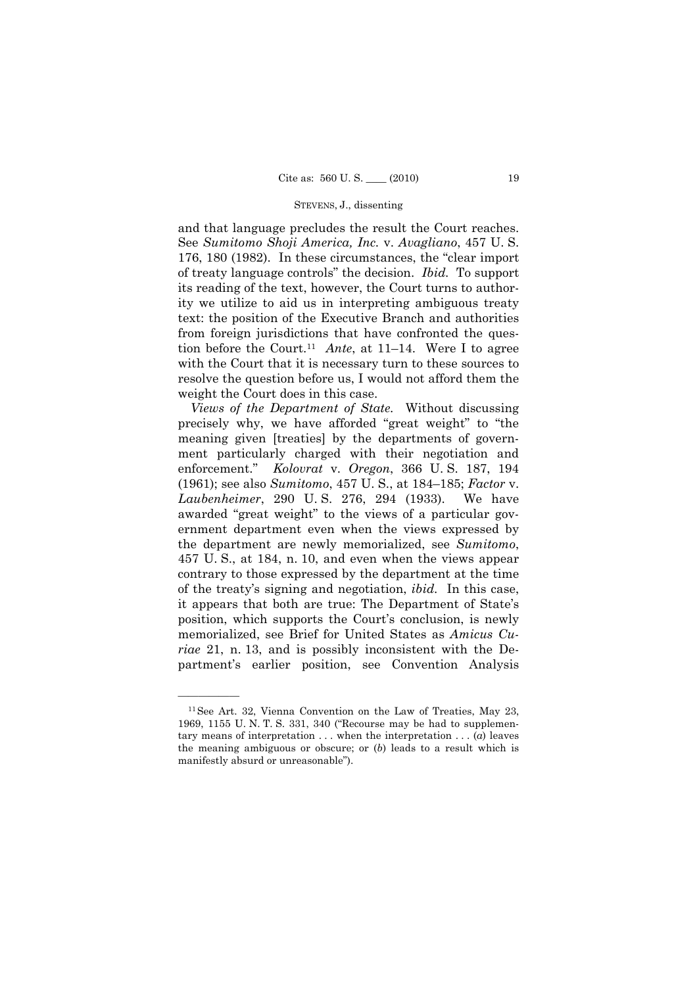and that language precludes the result the Court reaches. See *Sumitomo Shoji America, Inc.* v. *Avagliano*, 457 U. S. 176, 180 (1982). In these circumstances, the "clear import of treaty language controls" the decision. *Ibid.* To support its reading of the text, however, the Court turns to authority we utilize to aid us in interpreting ambiguous treaty text: the position of the Executive Branch and authorities from foreign jurisdictions that have confronted the question before the Court.<sup>11</sup> *Ante*, at 11–14. Were I to agree with the Court that it is necessary turn to these sources to resolve the question before us, I would not afford them the weight the Court does in this case.

*Views of the Department of State.* Without discussing precisely why, we have afforded "great weight" to "the meaning given [treaties] by the departments of government particularly charged with their negotiation and enforcement." *Kolovrat* v. *Oregon*, 366 U. S. 187, 194 (1961); see also *Sumitomo*, 457 U. S., at 184–185; *Factor* v. *Laubenheimer*, 290 U. S. 276, 294 (1933). We have awarded "great weight" to the views of a particular government department even when the views expressed by the department are newly memorialized, see *Sumitomo*, 457 U. S., at 184, n. 10, and even when the views appear contrary to those expressed by the department at the time of the treaty's signing and negotiation, *ibid.* In this case, it appears that both are true: The Department of State's position, which supports the Court's conclusion, is newly memorialized, see Brief for United States as *Amicus Curiae* 21, n. 13, and is possibly inconsistent with the Department's earlier position, see Convention Analysis

<sup>&</sup>lt;sup>11</sup>See Art. 32, Vienna Convention on the Law of Treaties, May 23, 1969, 1155 U. N. T. S. 331, 340 ("Recourse may be had to supplementary means of interpretation  $\dots$  when the interpretation  $\dots$  (*a*) leaves the meaning ambiguous or obscure; or (b) leads to a result which is manifestly absurd or unreasonable").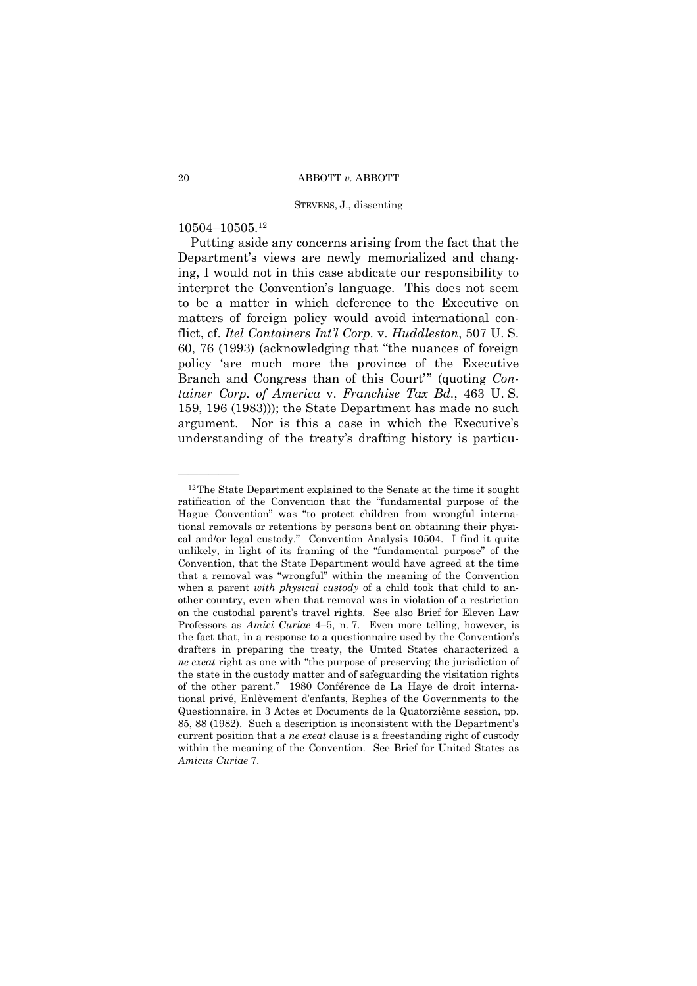## 10504–10505.12

——————

Putting aside any concerns arising from the fact that the Department's views are newly memorialized and changing, I would not in this case abdicate our responsibility to interpret the Convention's language. This does not seem to be a matter in which deference to the Executive on matters of foreign policy would avoid international conflict, cf. *Itel Containers Int'l Corp.* v. *Huddleston*, 507 U. S. 60, 76 (1993) (acknowledging that "the nuances of foreign policy 'are much more the province of the Executive Branch and Congress than of this Court'" (quoting *Container Corp. of America* v. *Franchise Tax Bd.*, 463 U. S. 159, 196 (1983))); the State Department has made no such argument. Nor is this a case in which the Executive's understanding of the treaty's drafting history is particu

<sup>&</sup>lt;sup>12</sup>The State Department explained to the Senate at the time it sought ratification of the Convention that the "fundamental purpose of the Hague Convention" was "to protect children from wrongful international removals or retentions by persons bent on obtaining their physical and/or legal custody." Convention Analysis 10504. I find it quite unlikely, in light of its framing of the "fundamental purpose" of the Convention, that the State Department would have agreed at the time that a removal was "wrongful" within the meaning of the Convention when a parent *with physical custody* of a child took that child to another country, even when that removal was in violation of a restriction on the custodial parent's travel rights. See also Brief for Eleven Law Professors as *Amici Curiae* 4–5, n. 7. Even more telling, however, is the fact that, in a response to a questionnaire used by the Convention's drafters in preparing the treaty, the United States characterized a *ne exeat* right as one with "the purpose of preserving the jurisdiction of the state in the custody matter and of safeguarding the visitation rights of the other parent." 1980 Conférence de La Haye de droit international privé, Enlèvement d'enfants, Replies of the Governments to the Questionnaire, in 3 Actes et Documents de la Quatorzième session, pp. 85, 88 (1982). Such a description is inconsistent with the Department's current position that a *ne exeat* clause is a freestanding right of custody within the meaning of the Convention. See Brief for United States as *Amicus Curiae* 7.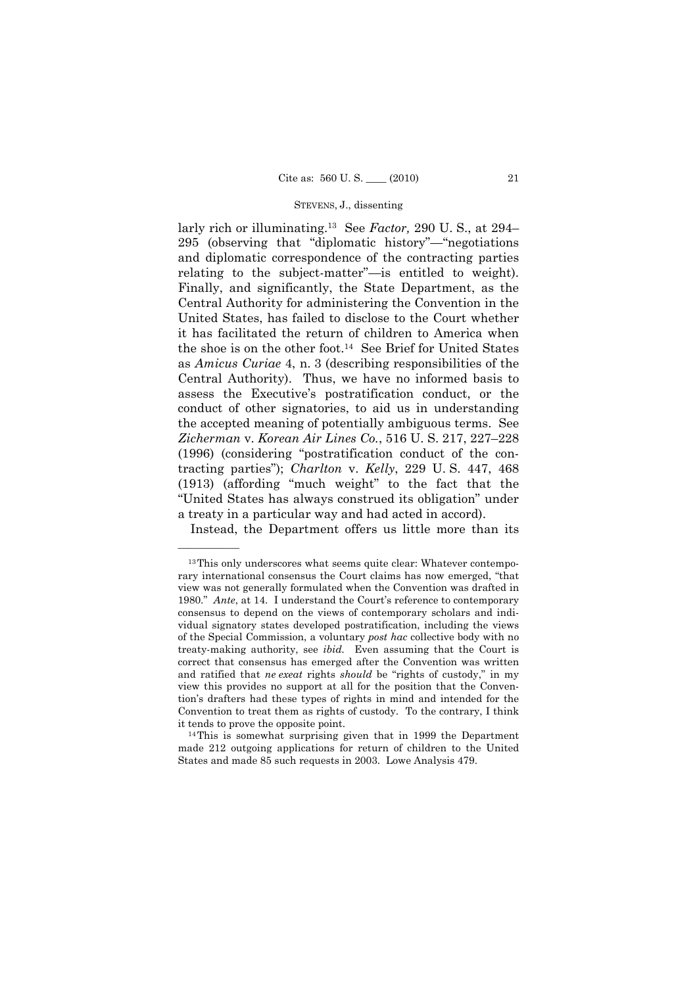larly rich or illuminating.13 See *Factor,* 290 U. S., at 294– 295 (observing that "diplomatic history"—"negotiations and diplomatic correspondence of the contracting parties relating to the subject-matter"—is entitled to weight). Finally, and significantly, the State Department, as the Central Authority for administering the Convention in the United States, has failed to disclose to the Court whether it has facilitated the return of children to America when the shoe is on the other foot.14 See Brief for United States as *Amicus Curiae* 4, n. 3 (describing responsibilities of the Central Authority). Thus, we have no informed basis to assess the Executive's postratification conduct, or the conduct of other signatories, to aid us in understanding the accepted meaning of potentially ambiguous terms. See *Zicherman* v. *Korean Air Lines Co.*, 516 U. S. 217, 227–228 (1996) (considering "postratification conduct of the contracting parties"); *Charlton* v. *Kelly*, 229 U. S. 447, 468 (1913) (affording "much weight" to the fact that the "United States has always construed its obligation" under a treaty in a particular way and had acted in accord).

Instead, the Department offers us little more than its

<sup>13</sup>This only underscores what seems quite clear: Whatever contemporary international consensus the Court claims has now emerged, "that view was not generally formulated when the Convention was drafted in 1980." *Ante*, at 14. I understand the Court's reference to contemporary consensus to depend on the views of contemporary scholars and individual signatory states developed postratification, including the views of the Special Commission, a voluntary *post hac* collective body with no treaty-making authority, see *ibid*. Even assuming that the Court is correct that consensus has emerged after the Convention was written and ratified that *ne exeat* rights *should* be "rights of custody," in my view this provides no support at all for the position that the Convention's drafters had these types of rights in mind and intended for the Convention to treat them as rights of custody. To the contrary, I think it tends to prove the opposite point.

<sup>&</sup>lt;sup>14</sup>This is somewhat surprising given that in 1999 the Department made 212 outgoing applications for return of children to the United States and made 85 such requests in 2003. Lowe Analysis 479.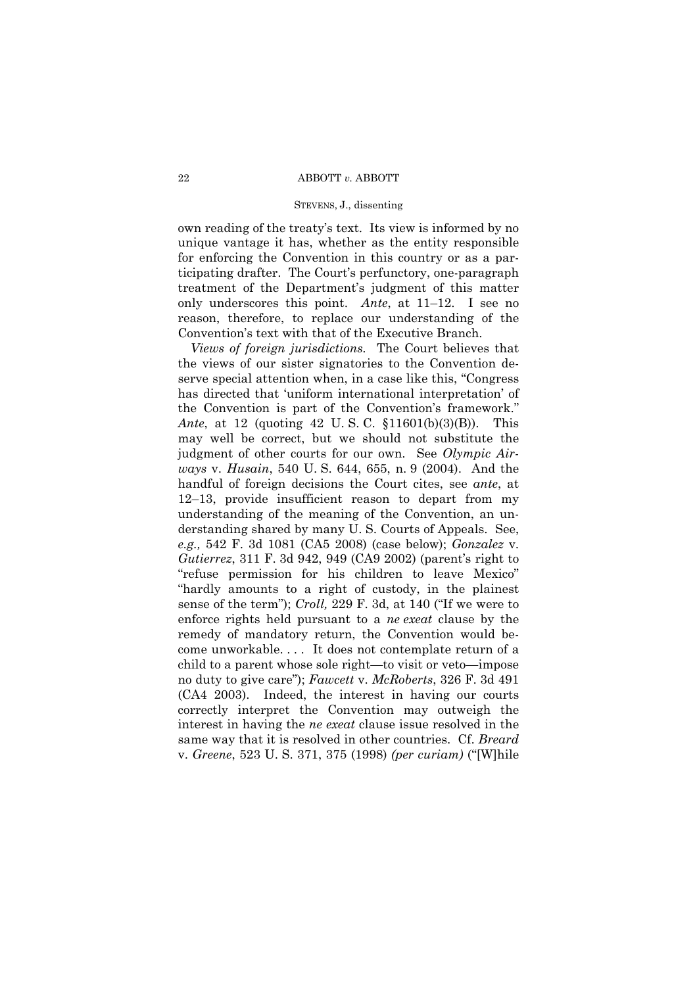own reading of the treaty's text. Its view is informed by no unique vantage it has, whether as the entity responsible for enforcing the Convention in this country or as a participating drafter. The Court's perfunctory, one-paragraph treatment of the Department's judgment of this matter only underscores this point. *Ante*, at 11–12. I see no reason, therefore, to replace our understanding of the Convention's text with that of the Executive Branch.

*Views of foreign jurisdictions.*  The Court believes that the views of our sister signatories to the Convention deserve special attention when, in a case like this, "Congress has directed that 'uniform international interpretation' of the Convention is part of the Convention's framework." *Ante*, at 12 (quoting 42 U.S.C. §11601(b)(3)(B)). This may well be correct, but we should not substitute the judgment of other courts for our own. See Olympic Air*ways* v. *Husain*, 540 U. S. 644, 655, n. 9 (2004). And the handful of foreign decisions the Court cites, see *ante*, at 12–13, provide insufficient reason to depart from my understanding of the meaning of the Convention, an understanding shared by many U. S. Courts of Appeals. See, *e.g.,* 542 F. 3d 1081 (CA5 2008) (case below); *Gonzalez* v. *Gutierrez*, 311 F. 3d 942, 949 (CA9 2002) (parent's right to "refuse permission for his children to leave Mexico" "hardly amounts to a right of custody, in the plainest sense of the term"); *Croll,* 229 F. 3d, at 140 ("If we were to enforce rights held pursuant to a *ne exeat*  clause by the remedy of mandatory return, the Convention would become unworkable. . . . It does not contemplate return of a child to a parent whose sole right—to visit or veto—impose no duty to give care"); *Fawcett* v. *McRoberts*, 326 F. 3d 491 (CA4 2003). Indeed, the interest in having our courts correctly interpret the Convention may outweigh the interest in having the *ne exeat* clause issue resolved in the same way that it is resolved in other countries. Cf. *Breard*  v. *Greene*, 523 U. S. 371, 375 (1998) *(per curiam)* ("[W]hile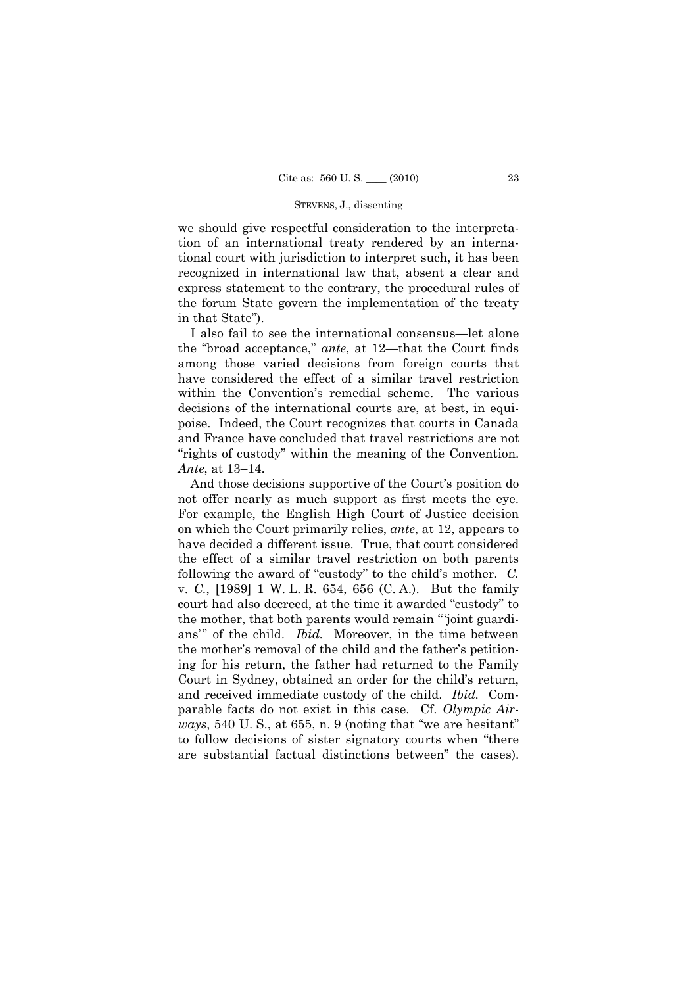we should give respectful consideration to the interpretation of an international treaty rendered by an international court with jurisdiction to interpret such, it has been recognized in international law that, absent a clear and express statement to the contrary, the procedural rules of the forum State govern the implementation of the treaty in that State").

I also fail to see the international consensus—let alone the "broad acceptance," *ante*, at 12—that the Court finds among those varied decisions from foreign courts that have considered the effect of a similar travel restriction within the Convention's remedial scheme. The various decisions of the international courts are, at best, in equipoise. Indeed, the Court recognizes that courts in Canada and France have concluded that travel restrictions are not "rights of custody" within the meaning of the Convention. *Ante*, at 13–14.

And those decisions supportive of the Court's position do not offer nearly as much support as first meets the eye. For example, the English High Court of Justice decision on which the Court primarily relies, *ante*, at 12, appears to have decided a different issue. True, that court considered the effect of a similar travel restriction on both parents following the award of "custody" to the child's mother. *C.*  v. *C.*, [1989] 1 W. L. R. 654, 656 (C. A.). But the family court had also decreed, at the time it awarded "custody" to the mother, that both parents would remain "'joint guardians" of the child. *Ibid.* Moreover, in the time between the mother's removal of the child and the father's petitioning for his return, the father had returned to the Family Court in Sydney, obtained an order for the child's return, and received immediate custody of the child. *Ibid.* Comparable facts do not exist in this case. Cf. *Olympic Airways*, 540 U. S., at 655, n. 9 (noting that "we are hesitant" to follow decisions of sister signatory courts when "there are substantial factual distinctions between" the cases).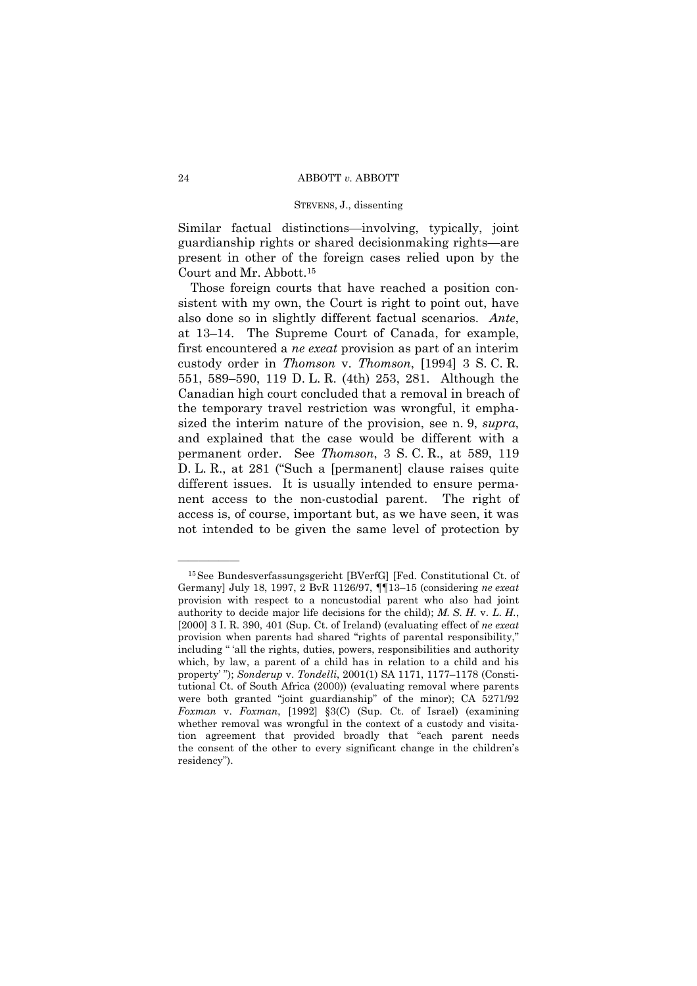Similar factual distinctions—involving, typically, joint guardianship rights or shared decisionmaking rights—are present in other of the foreign cases relied upon by the Court and Mr. Abbott.15

Those foreign courts that have reached a position consistent with my own, the Court is right to point out, have also done so in slightly different factual scenarios. *Ante*, at 13–14. The Supreme Court of Canada, for example, first encountered a *ne exeat* provision as part of an interim custody order in *Thomson*  v. *Thomson*, [1994] 3 S. C. R. 551, 589–590, 119 D. L. R. (4th) 253, 281. Although the Canadian high court concluded that a removal in breach of the temporary travel restriction was wrongful, it emphasized the interim nature of the provision, see n. 9, *supra*, and explained that the case would be different with a permanent order. See *Thomson*, 3 S. C. R., at 589, 119 D. L. R., at 281 ("Such a [permanent] clause raises quite different issues. It is usually intended to ensure permanent access to the non-custodial parent. The right of access is, of course, important but, as we have seen, it was not intended to be given the same level of protection by

<sup>15</sup>See Bundesverfassungsgericht [BVerfG] [Fed. Constitutional Ct. of Germany] July 18, 1997, 2 BvR 1126/97, ¶¶13–15 (considering *ne exeat*  provision with respect to a noncustodial parent who also had joint authority to decide major life decisions for the child); *M. S. H.* v. *L. H.*, [2000] 3 I. R. 390, 401 (Sup. Ct. of Ireland) (evaluating effect of *ne exeat*  provision when parents had shared "rights of parental responsibility," including " 'all the rights, duties, powers, responsibilities and authority which, by law, a parent of a child has in relation to a child and his property' "); *Sonderup* v. *Tondelli*, 2001(1) SA 1171, 1177–1178 (Constitutional Ct. of South Africa (2000)) (evaluating removal where parents were both granted "joint guardianship" of the minor); CA 5271/92 *Foxman*  v. *Foxman*, [1992] §3(C) (Sup. Ct. of Israel) (examining whether removal was wrongful in the context of a custody and visitation agreement that provided broadly that "each parent needs the consent of the other to every significant change in the children's residency").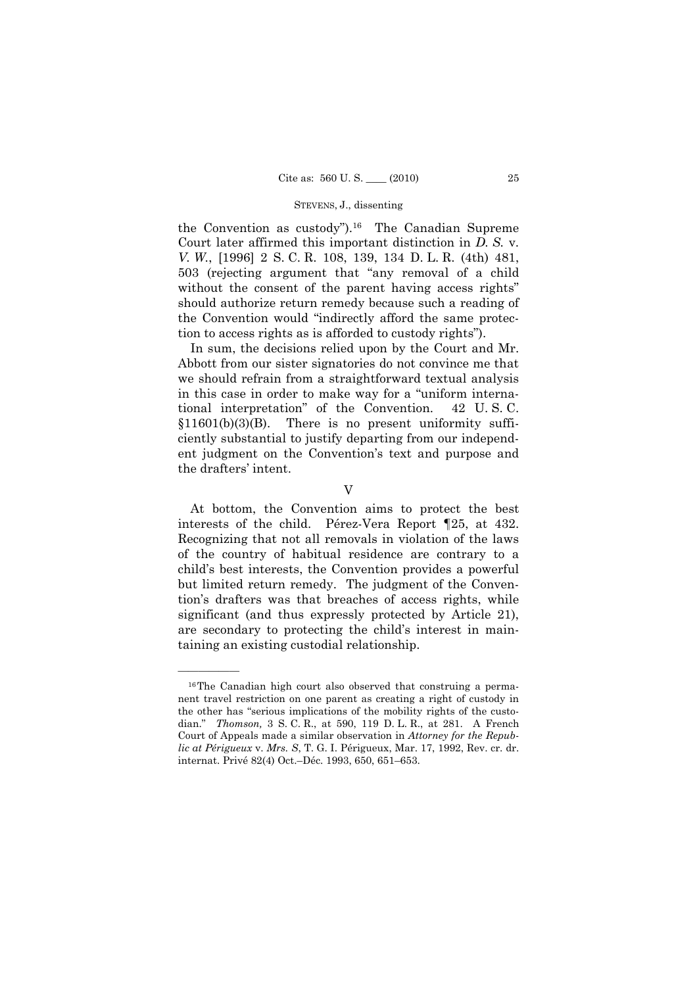the Convention as custody").<sup>16</sup> The Canadian Supreme Court later affirmed this important distinction in *D. S.* v. *V. W.*, [1996] 2 S. C. R. 108, 139, 134 D. L. R. (4th) 481, 503 (rejecting argument that "any removal of a child without the consent of the parent having access rights" should authorize return remedy because such a reading of the Convention would "indirectly afford the same protection to access rights as is afforded to custody rights").

In sum, the decisions relied upon by the Court and Mr. Abbott from our sister signatories do not convince me that we should refrain from a straightforward textual analysis in this case in order to make way for a "uniform international interpretation" of the Convention. 42 U. S. C.  $$11601(b)(3)(B)$ . There is no present uniformity sufficiently substantial to justify departing from our independent judgment on the Convention's text and purpose and the drafters' intent.

 $\overline{V}$ 

At bottom, the Convention aims to protect the best interests of the child. Pérez-Vera Report 125, at 432. Recognizing that not all removals in violation of the laws of the country of habitual residence are contrary to a child's best interests, the Convention provides a powerful but limited return remedy. The judgment of the Convention's drafters was that breaches of access rights, while significant (and thus expressly protected by Article 21), are secondary to protecting the child's interest in maintaining an existing custodial relationship.

 $\overline{\phantom{a}}$ 

<sup>&</sup>lt;sup>16</sup>The Canadian high court also observed that construing a permanent travel restriction on one parent as creating a right of custody in the other has "serious implications of the mobility rights of the custodian." *Thomson,*  3 S. C. R., at 590, 119 D. L. R., at 281. A French Court of Appeals made a similar observation in *Attorney for the Republic at Périgueux* v. *Mrs. S*, T. G. I. Périgueux, Mar. 17, 1992, Rev. cr. dr. internat. Privé 82(4) Oct.–Déc. 1993, 650, 651–653.